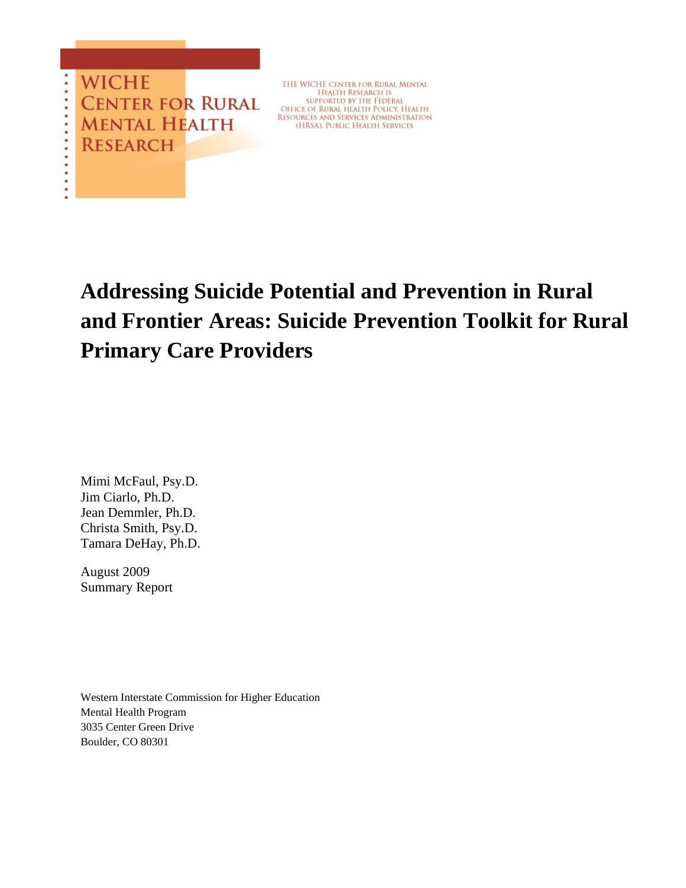**WICHE CENTER FOR RURAL MENTAL HEALTH RESEARCH** 

THE WICHE CENTER FOR RURAL MENTAL<br>HEALTH RESEARCH IS<br>supported by the Federal OFFICE OF RURAL HEALTH POLICY, HEALTH<br>RESOURCES AND SERVICES ADMINISTRATION<br>(HRSA), PUBLIC HEALTH SERVICES

**Addressing Suicide Potential and Prevention in Rural and Frontier Areas: Suicide Prevention Toolkit for Rural Primary Care Providers** 

Mimi McFaul, Psy.D. Jim Ciarlo, Ph.D. Jean Demmler, Ph.D. Christa Smith, Psy.D. Tamara DeHay, Ph.D.

August 2009 Summary Report

Western Interstate Commission for Higher Education Mental Health Program 3035 Center Green Drive Boulder, CO 80301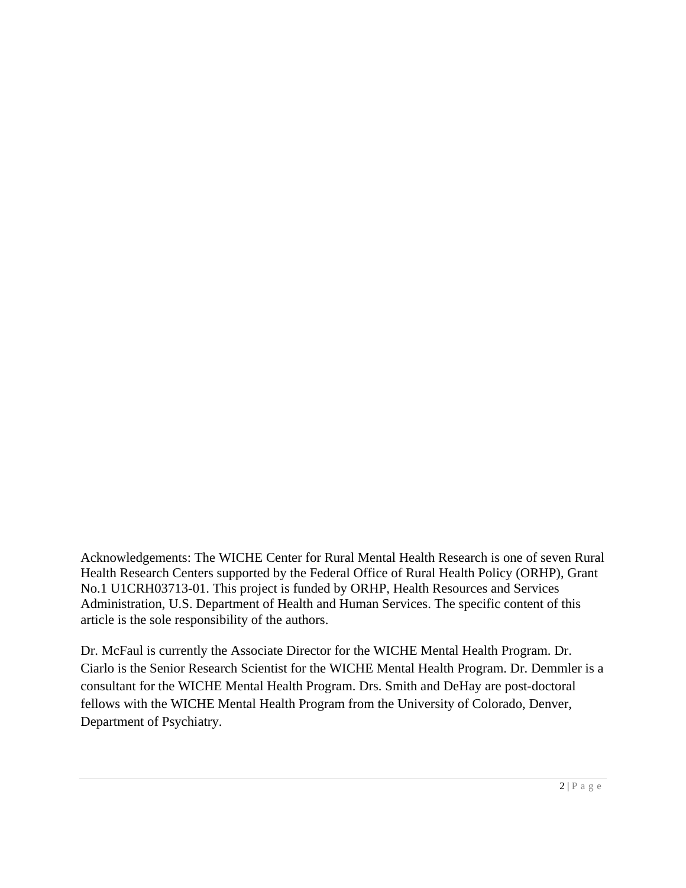Acknowledgements: The WICHE Center for Rural Mental Health Research is one of seven Rural Health Research Centers supported by the Federal Office of Rural Health Policy (ORHP), Grant No.1 U1CRH03713-01. This project is funded by ORHP, Health Resources and Services Administration, U.S. Department of Health and Human Services. The specific content of this article is the sole responsibility of the authors.

Dr. McFaul is currently the Associate Director for the WICHE Mental Health Program. Dr. Ciarlo is the Senior Research Scientist for the WICHE Mental Health Program. Dr. Demmler is a consultant for the WICHE Mental Health Program. Drs. Smith and DeHay are post-doctoral fellows with the WICHE Mental Health Program from the University of Colorado, Denver, Department of Psychiatry.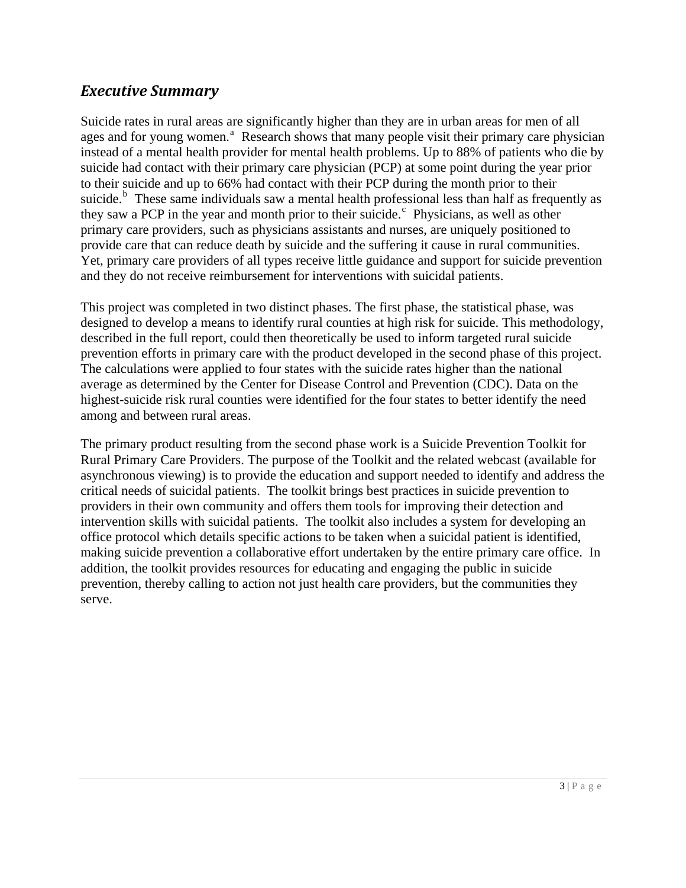# <span id="page-2-0"></span>*Executive Summary*

Suicide rates in rural areas are significantly higher than they are in urban areas for men of all [a](#page-24-0)ges and for young women.<sup>a</sup> Research shows that many people visit their primary care physician instead of a mental health provider for mental health problems. Up to 88% of patients who die by suicide had contact with their primary care physician (PCP) at some point during the year prior to their suicide and up to 66% had contact with their PCP during the month prior to their suicide.<sup>[b](#page-24-1)</sup> These same individuals saw a mental health professional less than half as frequently as they saw a PCP in the year and month prior to their sui[c](#page-24-1)ide.<sup>c</sup> Physicians, as well as other primary care providers, such as physicians assistants and nurses, are uniquely positioned to provide care that can reduce death by suicide and the suffering it cause in rural communities. Yet, primary care providers of all types receive little guidance and support for suicide prevention and they do not receive reimbursement for interventions with suicidal patients.

This project was completed in two distinct phases. The first phase, the statistical phase, was designed to develop a means to identify rural counties at high risk for suicide. This methodology, described in the full report, could then theoretically be used to inform targeted rural suicide prevention efforts in primary care with the product developed in the second phase of this project. The calculations were applied to four states with the suicide rates higher than the national average as determined by the Center for Disease Control and Prevention (CDC). Data on the highest-suicide risk rural counties were identified for the four states to better identify the need among and between rural areas.

The primary product resulting from the second phase work is a Suicide Prevention Toolkit for Rural Primary Care Providers. The purpose of the Toolkit and the related webcast (available for asynchronous viewing) is to provide the education and support needed to identify and address the critical needs of suicidal patients. The toolkit brings best practices in suicide prevention to providers in their own community and offers them tools for improving their detection and intervention skills with suicidal patients. The toolkit also includes a system for developing an office protocol which details specific actions to be taken when a suicidal patient is identified, making suicide prevention a collaborative effort undertaken by the entire primary care office. In addition, the toolkit provides resources for educating and engaging the public in suicide prevention, thereby calling to action not just health care providers, but the communities they serve.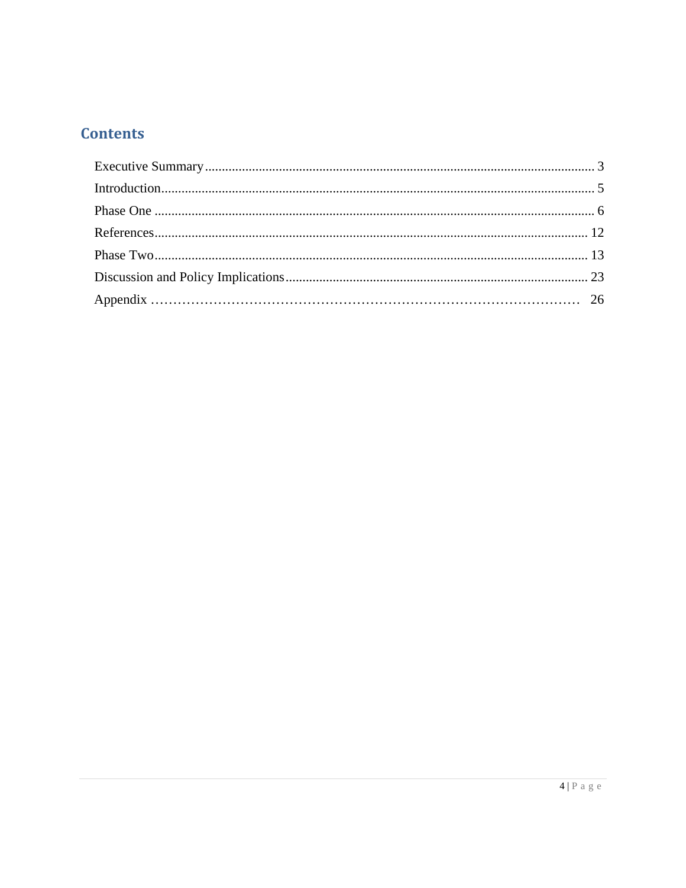# **Contents**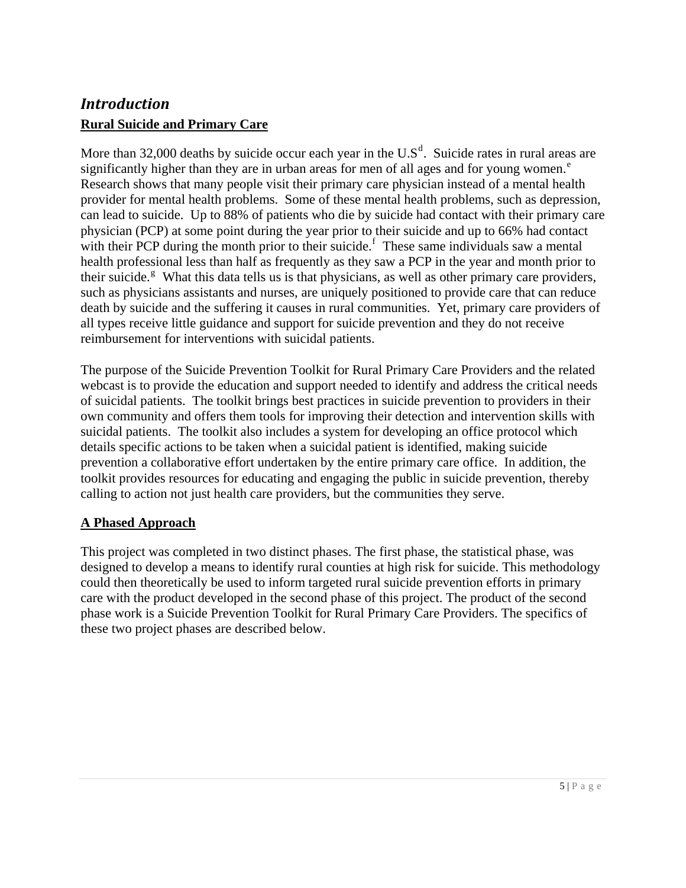# <span id="page-4-0"></span>*Introduction* **Rural Suicide and Primary Care**

More than 32,000 [d](#page-24-1)eaths by suicide occur each year in the  $U.S^d$ . Suicide rates in rural areas are significantly high[e](#page-24-1)r than they are in urban areas for men of all ages and for young women. $^e$ Research shows that many people visit their primary care physician instead of a mental health provider for mental health problems. Some of these mental health problems, such as depression, can lead to suicide. Up to 88% of patients who die by suicide had contact with their primary care physician (PCP) at some point during the year prior to their suicide and up to 66% had contact with their PCP during the month prior to their suicide. $\frac{1}{1}$  $\frac{1}{1}$  $\frac{1}{1}$  These same individuals saw a mental health professional less than half as frequently as they saw a PCP in the year and month prior to their suicide.<sup>8</sup> What this data tells us is that physicians, as well as other primary care providers, such as physicians assistants and nurses, are uniquely positioned to provide care that can reduce death by suicide and the suffering it causes in rural communities. Yet, primary care providers of all types receive little guidance and support for suicide prevention and they do not receive reimbursement for interventions with suicidal patients.

The purpose of the Suicide Prevention Toolkit for Rural Primary Care Providers and the related webcast is to provide the education and support needed to identify and address the critical needs of suicidal patients. The toolkit brings best practices in suicide prevention to providers in their own community and offers them tools for improving their detection and intervention skills with suicidal patients. The toolkit also includes a system for developing an office protocol which details specific actions to be taken when a suicidal patient is identified, making suicide prevention a collaborative effort undertaken by the entire primary care office. In addition, the toolkit provides resources for educating and engaging the public in suicide prevention, thereby calling to action not just health care providers, but the communities they serve.

## **A Phased Approach**

This project was completed in two distinct phases. The first phase, the statistical phase, was designed to develop a means to identify rural counties at high risk for suicide. This methodology could then theoretically be used to inform targeted rural suicide prevention efforts in primary care with the product developed in the second phase of this project. The product of the second phase work is a Suicide Prevention Toolkit for Rural Primary Care Providers. The specifics of these two project phases are described below.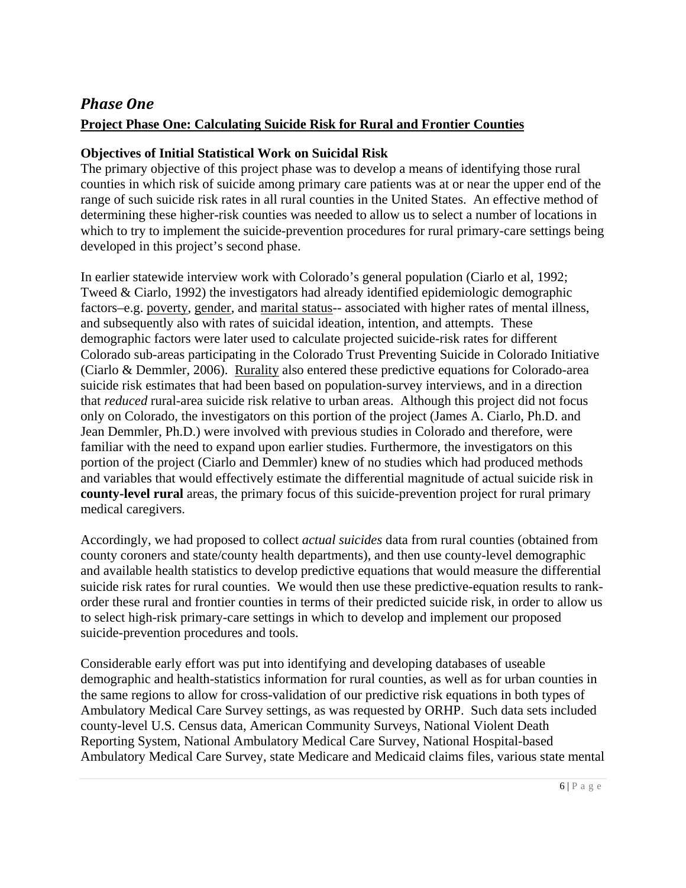# <span id="page-5-0"></span>*Phase One* **Project Phase One: Calculating Suicide Risk for Rural and Frontier Counties**

## **Objectives of Initial Statistical Work on Suicidal Risk**

The primary objective of this project phase was to develop a means of identifying those rural counties in which risk of suicide among primary care patients was at or near the upper end of the range of such suicide risk rates in all rural counties in the United States. An effective method of determining these higher-risk counties was needed to allow us to select a number of locations in which to try to implement the suicide-prevention procedures for rural primary-care settings being developed in this project's second phase.

In earlier statewide interview work with Colorado's general population (Ciarlo et al, 1992; Tweed & Ciarlo, 1992) the investigators had already identified epidemiologic demographic factors–e.g. poverty, gender, and marital status-- associated with higher rates of mental illness, and subsequently also with rates of suicidal ideation, intention, and attempts. These demographic factors were later used to calculate projected suicide-risk rates for different Colorado sub-areas participating in the Colorado Trust Preventing Suicide in Colorado Initiative (Ciarlo & Demmler, 2006). Rurality also entered these predictive equations for Colorado-area suicide risk estimates that had been based on population-survey interviews, and in a direction that *reduced* rural-area suicide risk relative to urban areas. Although this project did not focus only on Colorado, the investigators on this portion of the project (James A. Ciarlo, Ph.D. and Jean Demmler, Ph.D.) were involved with previous studies in Colorado and therefore, were familiar with the need to expand upon earlier studies. Furthermore, the investigators on this portion of the project (Ciarlo and Demmler) knew of no studies which had produced methods and variables that would effectively estimate the differential magnitude of actual suicide risk in **county-level rural** areas, the primary focus of this suicide-prevention project for rural primary medical caregivers.

Accordingly, we had proposed to collect *actual suicides* data from rural counties (obtained from county coroners and state/county health departments), and then use county-level demographic and available health statistics to develop predictive equations that would measure the differential suicide risk rates for rural counties. We would then use these predictive-equation results to rankorder these rural and frontier counties in terms of their predicted suicide risk, in order to allow us to select high-risk primary-care settings in which to develop and implement our proposed suicide-prevention procedures and tools.

Considerable early effort was put into identifying and developing databases of useable demographic and health-statistics information for rural counties, as well as for urban counties in the same regions to allow for cross-validation of our predictive risk equations in both types of Ambulatory Medical Care Survey settings, as was requested by ORHP. Such data sets included county-level U.S. Census data, American Community Surveys, National Violent Death Reporting System, National Ambulatory Medical Care Survey, National Hospital-based Ambulatory Medical Care Survey, state Medicare and Medicaid claims files, various state mental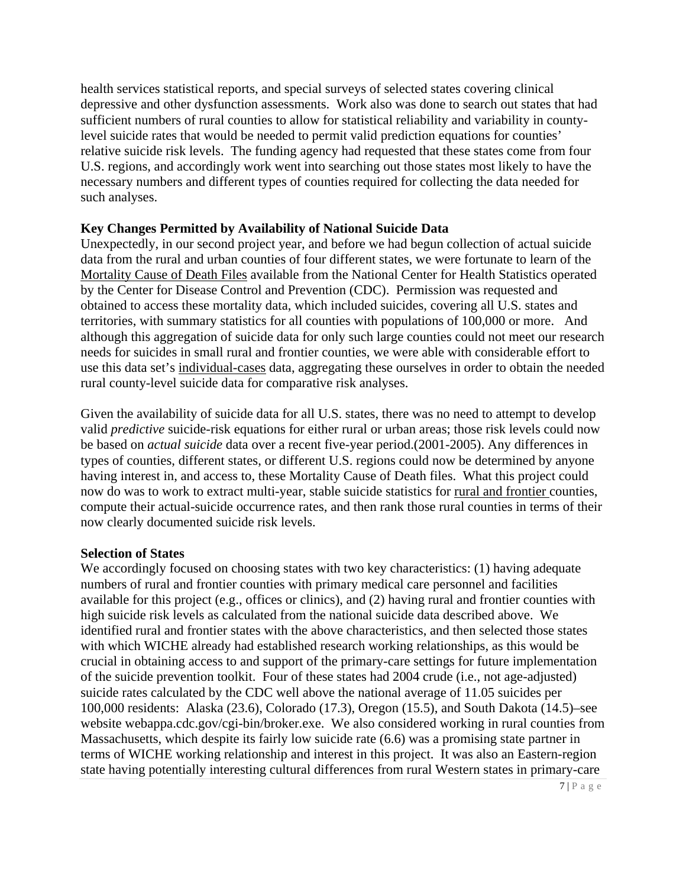health services statistical reports, and special surveys of selected states covering clinical depressive and other dysfunction assessments. Work also was done to search out states that had sufficient numbers of rural counties to allow for statistical reliability and variability in countylevel suicide rates that would be needed to permit valid prediction equations for counties' relative suicide risk levels. The funding agency had requested that these states come from four U.S. regions, and accordingly work went into searching out those states most likely to have the necessary numbers and different types of counties required for collecting the data needed for such analyses.

### **Key Changes Permitted by Availability of National Suicide Data**

Unexpectedly, in our second project year, and before we had begun collection of actual suicide data from the rural and urban counties of four different states, we were fortunate to learn of the Mortality Cause of Death Files available from the National Center for Health Statistics operated by the Center for Disease Control and Prevention (CDC). Permission was requested and obtained to access these mortality data, which included suicides, covering all U.S. states and territories, with summary statistics for all counties with populations of 100,000 or more. And although this aggregation of suicide data for only such large counties could not meet our research needs for suicides in small rural and frontier counties, we were able with considerable effort to use this data set's individual-cases data, aggregating these ourselves in order to obtain the needed rural county-level suicide data for comparative risk analyses.

Given the availability of suicide data for all U.S. states, there was no need to attempt to develop valid *predictive* suicide-risk equations for either rural or urban areas; those risk levels could now be based on *actual suicide* data over a recent five-year period.(2001-2005). Any differences in types of counties, different states, or different U.S. regions could now be determined by anyone having interest in, and access to, these Mortality Cause of Death files. What this project could now do was to work to extract multi-year, stable suicide statistics for rural and frontier counties, compute their actual-suicide occurrence rates, and then rank those rural counties in terms of their now clearly documented suicide risk levels.

### **Selection of States**

We accordingly focused on choosing states with two key characteristics: (1) having adequate numbers of rural and frontier counties with primary medical care personnel and facilities available for this project (e.g., offices or clinics), and (2) having rural and frontier counties with high suicide risk levels as calculated from the national suicide data described above. We identified rural and frontier states with the above characteristics, and then selected those states with which WICHE already had established research working relationships, as this would be crucial in obtaining access to and support of the primary-care settings for future implementation of the suicide prevention toolkit. Four of these states had 2004 crude (i.e., not age-adjusted) suicide rates calculated by the CDC well above the national average of 11.05 suicides per 100,000 residents: Alaska (23.6), Colorado (17.3), Oregon (15.5), and South Dakota (14.5)–see website webappa.cdc.gov/cgi-bin/broker.exe. We also considered working in rural counties from Massachusetts, which despite its fairly low suicide rate (6.6) was a promising state partner in terms of WICHE working relationship and interest in this project. It was also an Eastern-region state having potentially interesting cultural differences from rural Western states in primary-care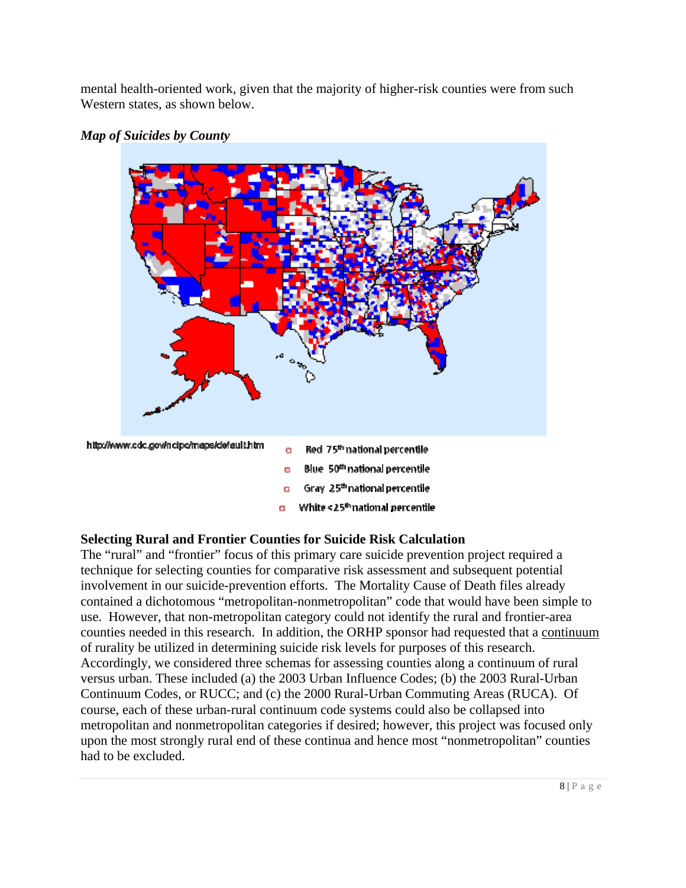mental health-oriented work, given that the majority of higher-risk counties were from such Western states, as shown below.





## **Selecting Rural and Frontier Counties for Suicide Risk Calculation**

The "rural" and "frontier" focus of this primary care suicide prevention project required a technique for selecting counties for comparative risk assessment and subsequent potential involvement in our suicide-prevention efforts. The Mortality Cause of Death files already contained a dichotomous "metropolitan-nonmetropolitan" code that would have been simple to use. However, that non-metropolitan category could not identify the rural and frontier-area counties needed in this research. In addition, the ORHP sponsor had requested that a continuum of rurality be utilized in determining suicide risk levels for purposes of this research. Accordingly, we considered three schemas for assessing counties along a continuum of rural versus urban. These included (a) the 2003 Urban Influence Codes; (b) the 2003 Rural-Urban Continuum Codes, or RUCC; and (c) the 2000 Rural-Urban Commuting Areas (RUCA). Of course, each of these urban-rural continuum code systems could also be collapsed into metropolitan and nonmetropolitan categories if desired; however, this project was focused only upon the most strongly rural end of these continua and hence most "nonmetropolitan" counties had to be excluded.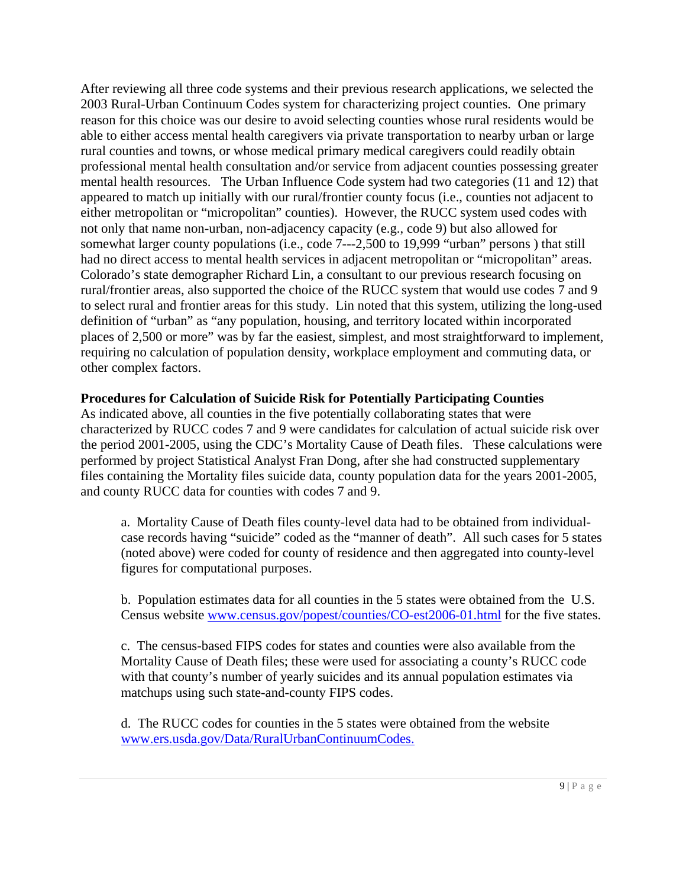After reviewing all three code systems and their previous research applications, we selected the 2003 Rural-Urban Continuum Codes system for characterizing project counties. One primary reason for this choice was our desire to avoid selecting counties whose rural residents would be able to either access mental health caregivers via private transportation to nearby urban or large rural counties and towns, or whose medical primary medical caregivers could readily obtain professional mental health consultation and/or service from adjacent counties possessing greater mental health resources. The Urban Influence Code system had two categories (11 and 12) that appeared to match up initially with our rural/frontier county focus (i.e., counties not adjacent to either metropolitan or "micropolitan" counties). However, the RUCC system used codes with not only that name non-urban, non-adjacency capacity (e.g., code 9) but also allowed for somewhat larger county populations (i.e., code 7---2,500 to 19,999 "urban" persons ) that still had no direct access to mental health services in adjacent metropolitan or "micropolitan" areas. Colorado's state demographer Richard Lin, a consultant to our previous research focusing on rural/frontier areas, also supported the choice of the RUCC system that would use codes 7 and 9 to select rural and frontier areas for this study. Lin noted that this system, utilizing the long-used definition of "urban" as "any population, housing, and territory located within incorporated places of 2,500 or more" was by far the easiest, simplest, and most straightforward to implement, requiring no calculation of population density, workplace employment and commuting data, or other complex factors.

### **Procedures for Calculation of Suicide Risk for Potentially Participating Counties**

As indicated above, all counties in the five potentially collaborating states that were characterized by RUCC codes 7 and 9 were candidates for calculation of actual suicide risk over the period 2001-2005, using the CDC's Mortality Cause of Death files. These calculations were performed by project Statistical Analyst Fran Dong, after she had constructed supplementary files containing the Mortality files suicide data, county population data for the years 2001-2005, and county RUCC data for counties with codes 7 and 9.

a. Mortality Cause of Death files county-level data had to be obtained from individualcase records having "suicide" coded as the "manner of death". All such cases for 5 states (noted above) were coded for county of residence and then aggregated into county-level figures for computational purposes.

b. Population estimates data for all counties in the 5 states were obtained from the U.S. Census website [www.census.gov/popest/counties/CO-est2006-01.html](http://www.census.gov/popest/counties/CO-est2006-01.html) for the five states.

c. The census-based FIPS codes for states and counties were also available from the Mortality Cause of Death files; these were used for associating a county's RUCC code with that county's number of yearly suicides and its annual population estimates via matchups using such state-and-county FIPS codes.

 d. The RUCC codes for counties in the 5 states were obtained from the website [www.ers.usda.gov/Data/RuralUrbanContinuumCodes.](http://www.ers.usda.gov/Data/RuralUrbanContinuum)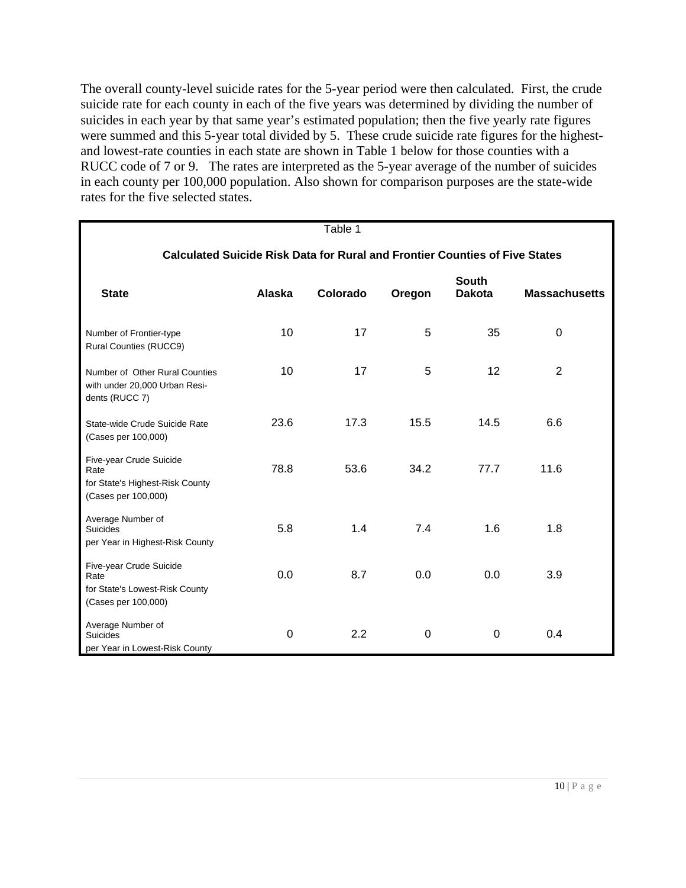The overall county-level suicide rates for the 5-year period were then calculated. First, the crude suicide rate for each county in each of the five years was determined by dividing the number of suicides in each year by that same year's estimated population; then the five yearly rate figures were summed and this 5-year total divided by 5. These crude suicide rate figures for the highestand lowest-rate counties in each state are shown in Table 1 below for those counties with a RUCC code of 7 or 9. The rates are interpreted as the 5-year average of the number of suicides in each county per 100,000 population. Also shown for comparison purposes are the state-wide rates for the five selected states.

|                                                                                          |                | Table 1  |          |                               |                      |  |  |
|------------------------------------------------------------------------------------------|----------------|----------|----------|-------------------------------|----------------------|--|--|
| <b>Calculated Suicide Risk Data for Rural and Frontier Counties of Five States</b>       |                |          |          |                               |                      |  |  |
|                                                                                          |                |          |          |                               |                      |  |  |
| <b>State</b>                                                                             | Alaska         | Colorado | Oregon   | <b>South</b><br><b>Dakota</b> | <b>Massachusetts</b> |  |  |
|                                                                                          |                |          |          |                               |                      |  |  |
| Number of Frontier-type<br>Rural Counties (RUCC9)                                        | 10             | 17       | 5        | 35                            | $\Omega$             |  |  |
| Number of Other Rural Counties<br>with under 20,000 Urban Resi-<br>dents (RUCC 7)        | 10             | 17       | 5        | 12                            | $\overline{2}$       |  |  |
| State-wide Crude Suicide Rate<br>(Cases per 100,000)                                     | 23.6           | 17.3     | 15.5     | 14.5                          | 6.6                  |  |  |
| Five-year Crude Suicide<br>Rate                                                          | 78.8           | 53.6     | 34.2     | 77.7                          | 11.6                 |  |  |
| for State's Highest-Risk County<br>(Cases per 100,000)                                   |                |          |          |                               |                      |  |  |
| Average Number of<br><b>Suicides</b><br>per Year in Highest-Risk County                  | 5.8            | 1.4      | 7.4      | 1.6                           | 1.8                  |  |  |
| Five-year Crude Suicide<br>Rate<br>for State's Lowest-Risk County<br>(Cases per 100,000) | 0.0            | 8.7      | 0.0      | 0.0                           | 3.9                  |  |  |
| Average Number of<br><b>Suicides</b><br>per Year in Lowest-Risk County                   | $\overline{0}$ | 2.2      | $\Omega$ | $\Omega$                      | 0.4                  |  |  |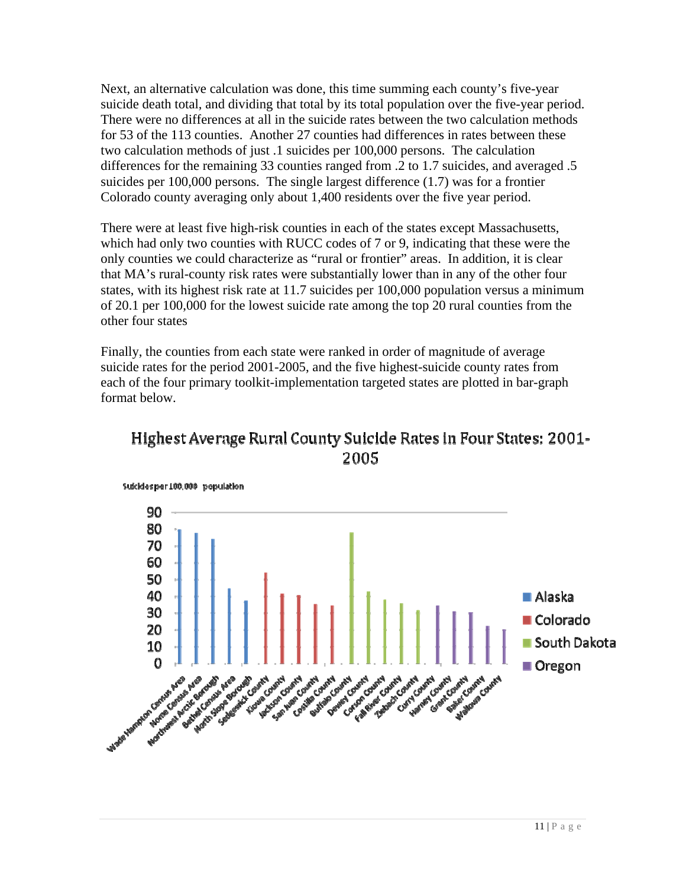Next, an alternative calculation was done, this time summing each county's five-year suicide death total, and dividing that total by its total population over the five-year period. There were no differences at all in the suicide rates between the two calculation methods for 53 of the 113 counties. Another 27 counties had differences in rates between these two calculation methods of just .1 suicides per 100,000 persons. The calculation differences for the remaining 33 counties ranged from .2 to 1.7 suicides, and averaged .5 suicides per 100,000 persons. The single largest difference (1.7) was for a frontier Colorado county averaging only about 1,400 residents over the five year period.

There were at least five high-risk counties in each of the states except Massachusetts, which had only two counties with RUCC codes of 7 or 9, indicating that these were the only counties we could characterize as "rural or frontier" areas. In addition, it is clear that MA's rural-county risk rates were substantially lower than in any of the other four states, with its highest risk rate at 11.7 suicides per 100,000 population versus a minimum of 20.1 per 100,000 for the lowest suicide rate among the top 20 rural counties from the other four states

Finally, the counties from each state were ranked in order of magnitude of average suicide rates for the period 2001-2005, and the five highest-suicide county rates from each of the four primary toolkit-implementation targeted states are plotted in bar-graph format below.



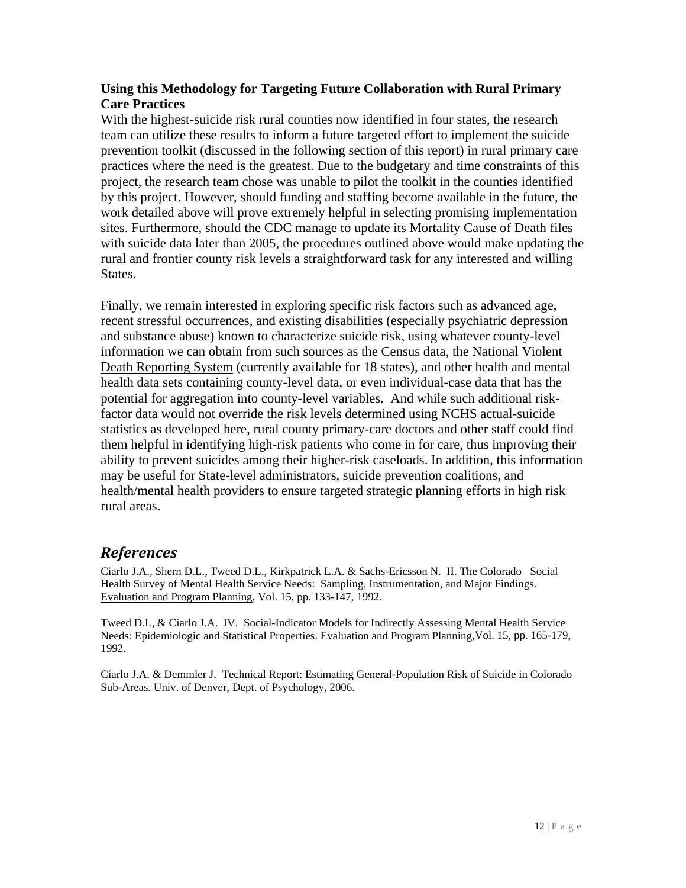## <span id="page-11-0"></span>**Using this Methodology for Targeting Future Collaboration with Rural Primary Care Practices**

With the highest-suicide risk rural counties now identified in four states, the research team can utilize these results to inform a future targeted effort to implement the suicide prevention toolkit (discussed in the following section of this report) in rural primary care practices where the need is the greatest. Due to the budgetary and time constraints of this project, the research team chose was unable to pilot the toolkit in the counties identified by this project. However, should funding and staffing become available in the future, the work detailed above will prove extremely helpful in selecting promising implementation sites. Furthermore, should the CDC manage to update its Mortality Cause of Death files with suicide data later than 2005, the procedures outlined above would make updating the rural and frontier county risk levels a straightforward task for any interested and willing States.

Finally, we remain interested in exploring specific risk factors such as advanced age, recent stressful occurrences, and existing disabilities (especially psychiatric depression and substance abuse) known to characterize suicide risk, using whatever county-level information we can obtain from such sources as the Census data, the National Violent Death Reporting System (currently available for 18 states), and other health and mental health data sets containing county-level data, or even individual-case data that has the potential for aggregation into county-level variables. And while such additional riskfactor data would not override the risk levels determined using NCHS actual-suicide statistics as developed here, rural county primary-care doctors and other staff could find them helpful in identifying high-risk patients who come in for care, thus improving their ability to prevent suicides among their higher-risk caseloads. In addition, this information may be useful for State-level administrators, suicide prevention coalitions, and health/mental health providers to ensure targeted strategic planning efforts in high risk rural areas.

# *References*

Ciarlo J.A., Shern D.L., Tweed D.L., Kirkpatrick L.A. & Sachs-Ericsson N. II. The Colorado Social Health Survey of Mental Health Service Needs: Sampling, Instrumentation, and Major Findings. Evaluation and Program Planning, Vol. 15, pp. 133-147, 1992.

Tweed D.L, & Ciarlo J.A. IV. Social-Indicator Models for Indirectly Assessing Mental Health Service Needs: Epidemiologic and Statistical Properties. Evaluation and Program Planning, Vol. 15, pp. 165-179, 1992.

Ciarlo J.A. & Demmler J. Technical Report: Estimating General-Population Risk of Suicide in Colorado Sub-Areas. Univ. of Denver, Dept. of Psychology, 2006.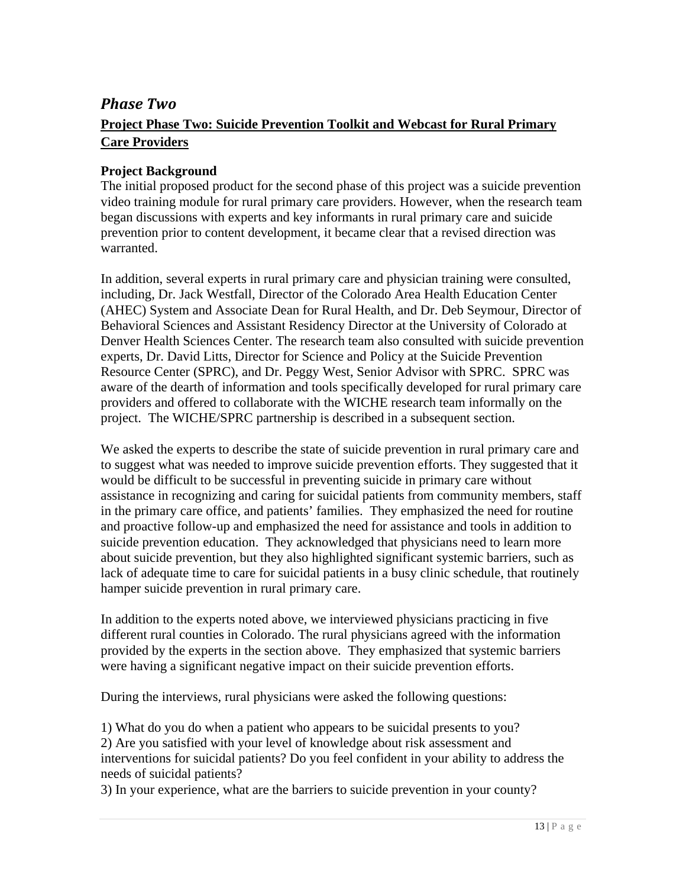# <span id="page-12-0"></span>*Phase Two* **Project Phase Two: Suicide Prevention Toolkit and Webcast for Rural Primary Care Providers**

## **Project Background**

The initial proposed product for the second phase of this project was a suicide prevention video training module for rural primary care providers. However, when the research team began discussions with experts and key informants in rural primary care and suicide prevention prior to content development, it became clear that a revised direction was warranted.

In addition, several experts in rural primary care and physician training were consulted, including, Dr. Jack Westfall, Director of the Colorado Area Health Education Center (AHEC) System and Associate Dean for Rural Health, and Dr. Deb Seymour, Director of Behavioral Sciences and Assistant Residency Director at the University of Colorado at Denver Health Sciences Center. The research team also consulted with suicide prevention experts, Dr. David Litts, Director for Science and Policy at the Suicide Prevention Resource Center (SPRC), and Dr. Peggy West, Senior Advisor with SPRC. SPRC was aware of the dearth of information and tools specifically developed for rural primary care providers and offered to collaborate with the WICHE research team informally on the project. The WICHE/SPRC partnership is described in a subsequent section.

We asked the experts to describe the state of suicide prevention in rural primary care and to suggest what was needed to improve suicide prevention efforts. They suggested that it would be difficult to be successful in preventing suicide in primary care without assistance in recognizing and caring for suicidal patients from community members, staff in the primary care office, and patients' families. They emphasized the need for routine and proactive follow-up and emphasized the need for assistance and tools in addition to suicide prevention education. They acknowledged that physicians need to learn more about suicide prevention, but they also highlighted significant systemic barriers, such as lack of adequate time to care for suicidal patients in a busy clinic schedule, that routinely hamper suicide prevention in rural primary care.

In addition to the experts noted above, we interviewed physicians practicing in five different rural counties in Colorado. The rural physicians agreed with the information provided by the experts in the section above. They emphasized that systemic barriers were having a significant negative impact on their suicide prevention efforts.

During the interviews, rural physicians were asked the following questions:

1) What do you do when a patient who appears to be suicidal presents to you? 2) Are you satisfied with your level of knowledge about risk assessment and interventions for suicidal patients? Do you feel confident in your ability to address the needs of suicidal patients?

3) In your experience, what are the barriers to suicide prevention in your county?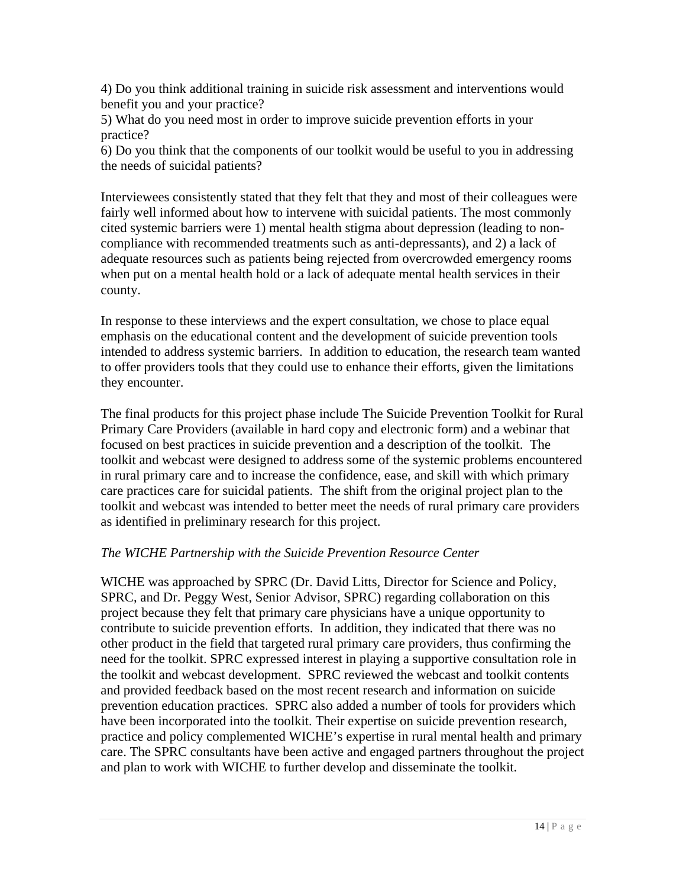4) Do you think additional training in suicide risk assessment and interventions would benefit you and your practice?

5) What do you need most in order to improve suicide prevention efforts in your practice?

6) Do you think that the components of our toolkit would be useful to you in addressing the needs of suicidal patients?

Interviewees consistently stated that they felt that they and most of their colleagues were fairly well informed about how to intervene with suicidal patients. The most commonly cited systemic barriers were 1) mental health stigma about depression (leading to noncompliance with recommended treatments such as anti-depressants), and 2) a lack of adequate resources such as patients being rejected from overcrowded emergency rooms when put on a mental health hold or a lack of adequate mental health services in their county.

In response to these interviews and the expert consultation, we chose to place equal emphasis on the educational content and the development of suicide prevention tools intended to address systemic barriers. In addition to education, the research team wanted to offer providers tools that they could use to enhance their efforts, given the limitations they encounter.

The final products for this project phase include The Suicide Prevention Toolkit for Rural Primary Care Providers (available in hard copy and electronic form) and a webinar that focused on best practices in suicide prevention and a description of the toolkit. The toolkit and webcast were designed to address some of the systemic problems encountered in rural primary care and to increase the confidence, ease, and skill with which primary care practices care for suicidal patients. The shift from the original project plan to the toolkit and webcast was intended to better meet the needs of rural primary care providers as identified in preliminary research for this project.

## *The WICHE Partnership with the Suicide Prevention Resource Center*

WICHE was approached by SPRC (Dr. David Litts, Director for Science and Policy, SPRC, and Dr. Peggy West, Senior Advisor, SPRC) regarding collaboration on this project because they felt that primary care physicians have a unique opportunity to contribute to suicide prevention efforts. In addition, they indicated that there was no other product in the field that targeted rural primary care providers, thus confirming the need for the toolkit. SPRC expressed interest in playing a supportive consultation role in the toolkit and webcast development. SPRC reviewed the webcast and toolkit contents and provided feedback based on the most recent research and information on suicide prevention education practices. SPRC also added a number of tools for providers which have been incorporated into the toolkit. Their expertise on suicide prevention research, practice and policy complemented WICHE's expertise in rural mental health and primary care. The SPRC consultants have been active and engaged partners throughout the project and plan to work with WICHE to further develop and disseminate the toolkit.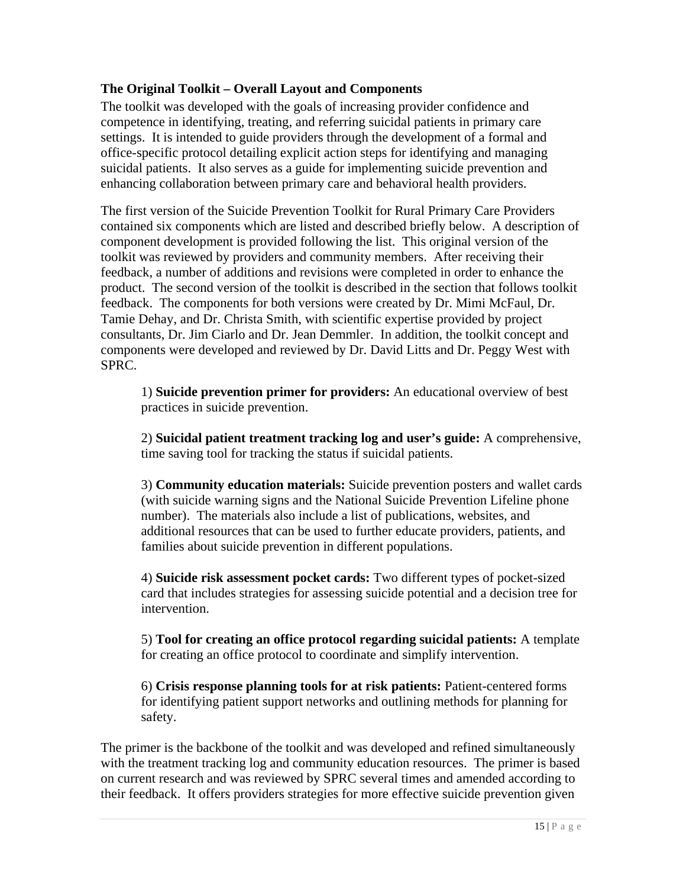## **The Original Toolkit – Overall Layout and Components**

The toolkit was developed with the goals of increasing provider confidence and competence in identifying, treating, and referring suicidal patients in primary care settings. It is intended to guide providers through the development of a formal and office-specific protocol detailing explicit action steps for identifying and managing suicidal patients. It also serves as a guide for implementing suicide prevention and enhancing collaboration between primary care and behavioral health providers.

The first version of the Suicide Prevention Toolkit for Rural Primary Care Providers contained six components which are listed and described briefly below. A description of component development is provided following the list. This original version of the toolkit was reviewed by providers and community members. After receiving their feedback, a number of additions and revisions were completed in order to enhance the product. The second version of the toolkit is described in the section that follows toolkit feedback. The components for both versions were created by Dr. Mimi McFaul, Dr. Tamie Dehay, and Dr. Christa Smith, with scientific expertise provided by project consultants, Dr. Jim Ciarlo and Dr. Jean Demmler. In addition, the toolkit concept and components were developed and reviewed by Dr. David Litts and Dr. Peggy West with SPRC.

1) **Suicide prevention primer for providers:** An educational overview of best practices in suicide prevention.

2) **Suicidal patient treatment tracking log and user's guide:** A comprehensive, time saving tool for tracking the status if suicidal patients.

3) **Community education materials:** Suicide prevention posters and wallet cards (with suicide warning signs and the National Suicide Prevention Lifeline phone number). The materials also include a list of publications, websites, and additional resources that can be used to further educate providers, patients, and families about suicide prevention in different populations.

4) **Suicide risk assessment pocket cards:** Two different types of pocket-sized card that includes strategies for assessing suicide potential and a decision tree for intervention.

5) **Tool for creating an office protocol regarding suicidal patients:** A template for creating an office protocol to coordinate and simplify intervention.

6) **Crisis response planning tools for at risk patients:** Patient-centered forms for identifying patient support networks and outlining methods for planning for safety.

The primer is the backbone of the toolkit and was developed and refined simultaneously with the treatment tracking log and community education resources. The primer is based on current research and was reviewed by SPRC several times and amended according to their feedback. It offers providers strategies for more effective suicide prevention given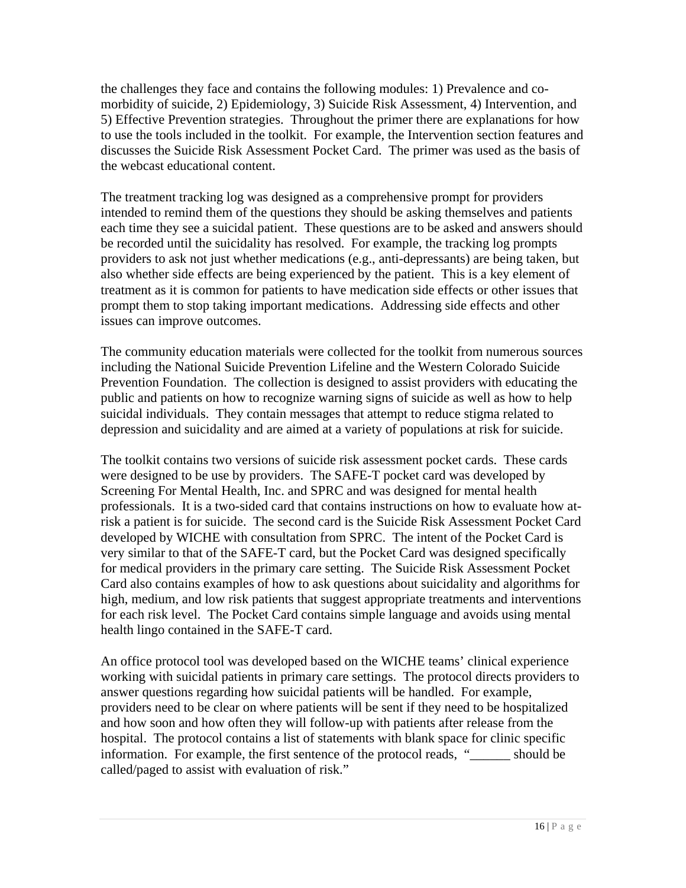the challenges they face and contains the following modules: 1) Prevalence and comorbidity of suicide, 2) Epidemiology, 3) Suicide Risk Assessment, 4) Intervention, and 5) Effective Prevention strategies. Throughout the primer there are explanations for how to use the tools included in the toolkit. For example, the Intervention section features and discusses the Suicide Risk Assessment Pocket Card. The primer was used as the basis of the webcast educational content.

The treatment tracking log was designed as a comprehensive prompt for providers intended to remind them of the questions they should be asking themselves and patients each time they see a suicidal patient. These questions are to be asked and answers should be recorded until the suicidality has resolved. For example, the tracking log prompts providers to ask not just whether medications (e.g., anti-depressants) are being taken, but also whether side effects are being experienced by the patient. This is a key element of treatment as it is common for patients to have medication side effects or other issues that prompt them to stop taking important medications. Addressing side effects and other issues can improve outcomes.

The community education materials were collected for the toolkit from numerous sources including the National Suicide Prevention Lifeline and the Western Colorado Suicide Prevention Foundation. The collection is designed to assist providers with educating the public and patients on how to recognize warning signs of suicide as well as how to help suicidal individuals. They contain messages that attempt to reduce stigma related to depression and suicidality and are aimed at a variety of populations at risk for suicide.

The toolkit contains two versions of suicide risk assessment pocket cards. These cards were designed to be use by providers. The SAFE-T pocket card was developed by Screening For Mental Health, Inc. and SPRC and was designed for mental health professionals. It is a two-sided card that contains instructions on how to evaluate how atrisk a patient is for suicide. The second card is the Suicide Risk Assessment Pocket Card developed by WICHE with consultation from SPRC. The intent of the Pocket Card is very similar to that of the SAFE-T card, but the Pocket Card was designed specifically for medical providers in the primary care setting. The Suicide Risk Assessment Pocket Card also contains examples of how to ask questions about suicidality and algorithms for high, medium, and low risk patients that suggest appropriate treatments and interventions for each risk level. The Pocket Card contains simple language and avoids using mental health lingo contained in the SAFE-T card.

An office protocol tool was developed based on the WICHE teams' clinical experience working with suicidal patients in primary care settings. The protocol directs providers to answer questions regarding how suicidal patients will be handled. For example, providers need to be clear on where patients will be sent if they need to be hospitalized and how soon and how often they will follow-up with patients after release from the hospital. The protocol contains a list of statements with blank space for clinic specific information. For example, the first sentence of the protocol reads, " should be called/paged to assist with evaluation of risk."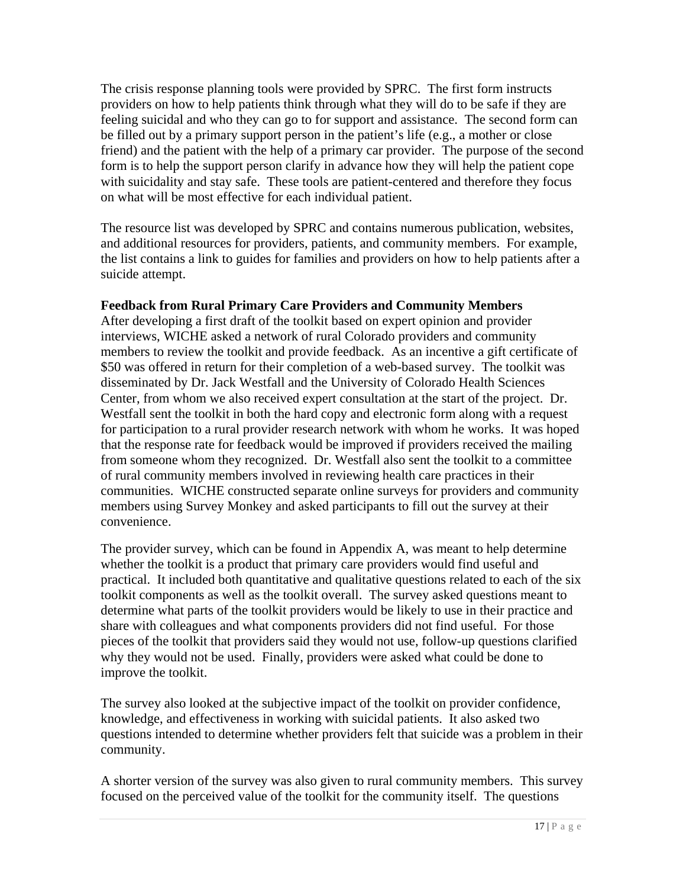The crisis response planning tools were provided by SPRC. The first form instructs providers on how to help patients think through what they will do to be safe if they are feeling suicidal and who they can go to for support and assistance. The second form can be filled out by a primary support person in the patient's life (e.g., a mother or close friend) and the patient with the help of a primary car provider. The purpose of the second form is to help the support person clarify in advance how they will help the patient cope with suicidality and stay safe. These tools are patient-centered and therefore they focus on what will be most effective for each individual patient.

The resource list was developed by SPRC and contains numerous publication, websites, and additional resources for providers, patients, and community members. For example, the list contains a link to guides for families and providers on how to help patients after a suicide attempt.

## **Feedback from Rural Primary Care Providers and Community Members**

After developing a first draft of the toolkit based on expert opinion and provider interviews, WICHE asked a network of rural Colorado providers and community members to review the toolkit and provide feedback. As an incentive a gift certificate of \$50 was offered in return for their completion of a web-based survey. The toolkit was disseminated by Dr. Jack Westfall and the University of Colorado Health Sciences Center, from whom we also received expert consultation at the start of the project. Dr. Westfall sent the toolkit in both the hard copy and electronic form along with a request for participation to a rural provider research network with whom he works. It was hoped that the response rate for feedback would be improved if providers received the mailing from someone whom they recognized. Dr. Westfall also sent the toolkit to a committee of rural community members involved in reviewing health care practices in their communities. WICHE constructed separate online surveys for providers and community members using Survey Monkey and asked participants to fill out the survey at their convenience.

The provider survey, which can be found in Appendix A, was meant to help determine whether the toolkit is a product that primary care providers would find useful and practical. It included both quantitative and qualitative questions related to each of the six toolkit components as well as the toolkit overall. The survey asked questions meant to determine what parts of the toolkit providers would be likely to use in their practice and share with colleagues and what components providers did not find useful. For those pieces of the toolkit that providers said they would not use, follow-up questions clarified why they would not be used. Finally, providers were asked what could be done to improve the toolkit.

The survey also looked at the subjective impact of the toolkit on provider confidence, knowledge, and effectiveness in working with suicidal patients. It also asked two questions intended to determine whether providers felt that suicide was a problem in their community.

A shorter version of the survey was also given to rural community members. This survey focused on the perceived value of the toolkit for the community itself. The questions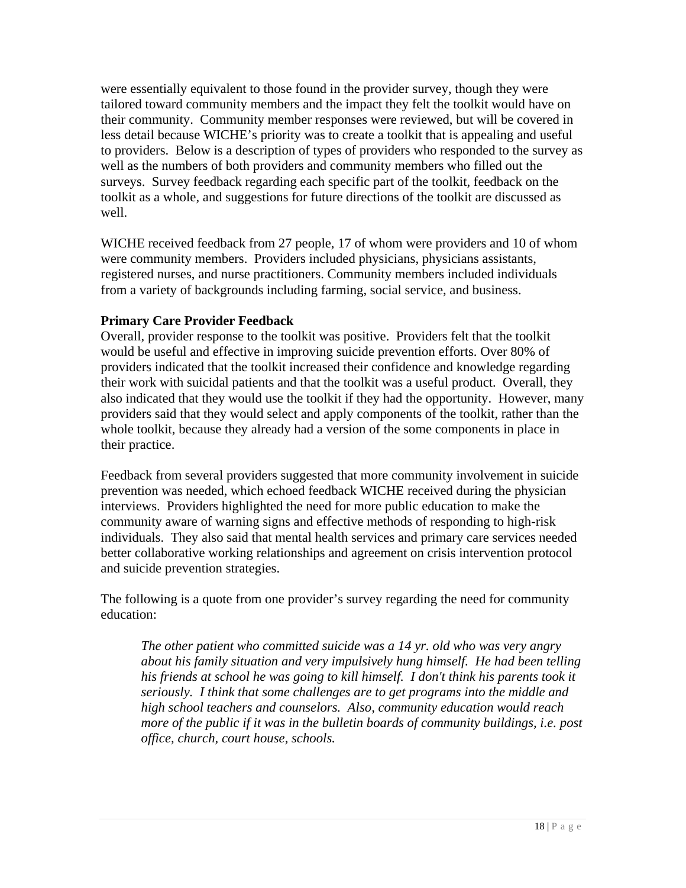were essentially equivalent to those found in the provider survey, though they were tailored toward community members and the impact they felt the toolkit would have on their community. Community member responses were reviewed, but will be covered in less detail because WICHE's priority was to create a toolkit that is appealing and useful to providers. Below is a description of types of providers who responded to the survey as well as the numbers of both providers and community members who filled out the surveys. Survey feedback regarding each specific part of the toolkit, feedback on the toolkit as a whole, and suggestions for future directions of the toolkit are discussed as well.

WICHE received feedback from 27 people, 17 of whom were providers and 10 of whom were community members. Providers included physicians, physicians assistants, registered nurses, and nurse practitioners. Community members included individuals from a variety of backgrounds including farming, social service, and business.

## **Primary Care Provider Feedback**

Overall, provider response to the toolkit was positive. Providers felt that the toolkit would be useful and effective in improving suicide prevention efforts. Over 80% of providers indicated that the toolkit increased their confidence and knowledge regarding their work with suicidal patients and that the toolkit was a useful product. Overall, they also indicated that they would use the toolkit if they had the opportunity. However, many providers said that they would select and apply components of the toolkit, rather than the whole toolkit, because they already had a version of the some components in place in their practice.

Feedback from several providers suggested that more community involvement in suicide prevention was needed, which echoed feedback WICHE received during the physician interviews. Providers highlighted the need for more public education to make the community aware of warning signs and effective methods of responding to high-risk individuals. They also said that mental health services and primary care services needed better collaborative working relationships and agreement on crisis intervention protocol and suicide prevention strategies.

The following is a quote from one provider's survey regarding the need for community education:

*The other patient who committed suicide was a 14 yr. old who was very angry about his family situation and very impulsively hung himself. He had been telling his friends at school he was going to kill himself. I don't think his parents took it seriously. I think that some challenges are to get programs into the middle and high school teachers and counselors. Also, community education would reach more of the public if it was in the bulletin boards of community buildings, i.e. post office, church, court house, schools.*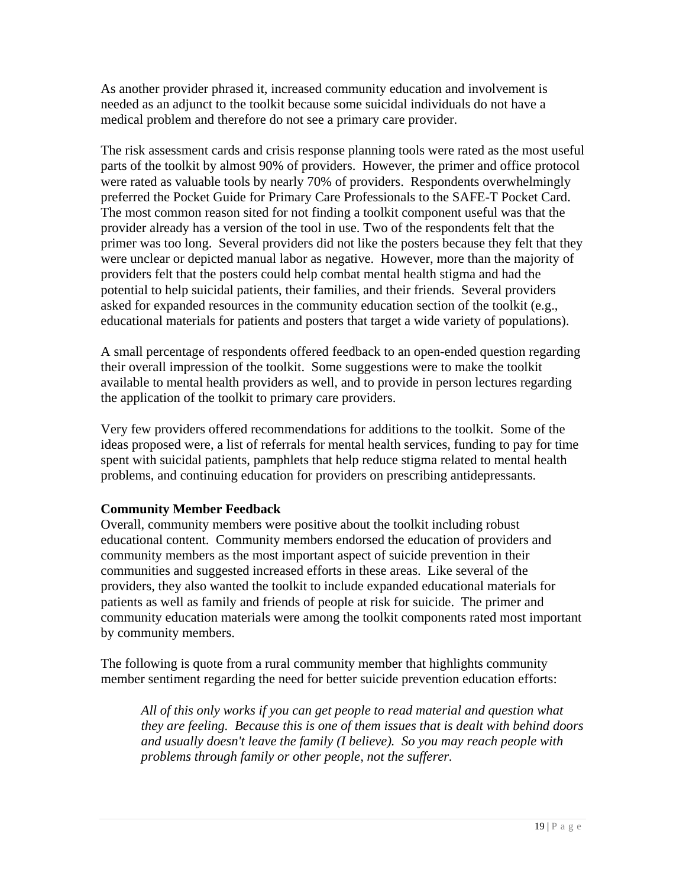As another provider phrased it, increased community education and involvement is needed as an adjunct to the toolkit because some suicidal individuals do not have a medical problem and therefore do not see a primary care provider.

The risk assessment cards and crisis response planning tools were rated as the most useful parts of the toolkit by almost 90% of providers. However, the primer and office protocol were rated as valuable tools by nearly 70% of providers. Respondents overwhelmingly preferred the Pocket Guide for Primary Care Professionals to the SAFE-T Pocket Card. The most common reason sited for not finding a toolkit component useful was that the provider already has a version of the tool in use. Two of the respondents felt that the primer was too long. Several providers did not like the posters because they felt that they were unclear or depicted manual labor as negative. However, more than the majority of providers felt that the posters could help combat mental health stigma and had the potential to help suicidal patients, their families, and their friends. Several providers asked for expanded resources in the community education section of the toolkit (e.g., educational materials for patients and posters that target a wide variety of populations).

A small percentage of respondents offered feedback to an open-ended question regarding their overall impression of the toolkit. Some suggestions were to make the toolkit available to mental health providers as well, and to provide in person lectures regarding the application of the toolkit to primary care providers.

Very few providers offered recommendations for additions to the toolkit. Some of the ideas proposed were, a list of referrals for mental health services, funding to pay for time spent with suicidal patients, pamphlets that help reduce stigma related to mental health problems, and continuing education for providers on prescribing antidepressants.

## **Community Member Feedback**

Overall, community members were positive about the toolkit including robust educational content. Community members endorsed the education of providers and community members as the most important aspect of suicide prevention in their communities and suggested increased efforts in these areas. Like several of the providers, they also wanted the toolkit to include expanded educational materials for patients as well as family and friends of people at risk for suicide. The primer and community education materials were among the toolkit components rated most important by community members.

The following is quote from a rural community member that highlights community member sentiment regarding the need for better suicide prevention education efforts:

*All of this only works if you can get people to read material and question what they are feeling. Because this is one of them issues that is dealt with behind doors and usually doesn't leave the family (I believe). So you may reach people with problems through family or other people, not the sufferer.*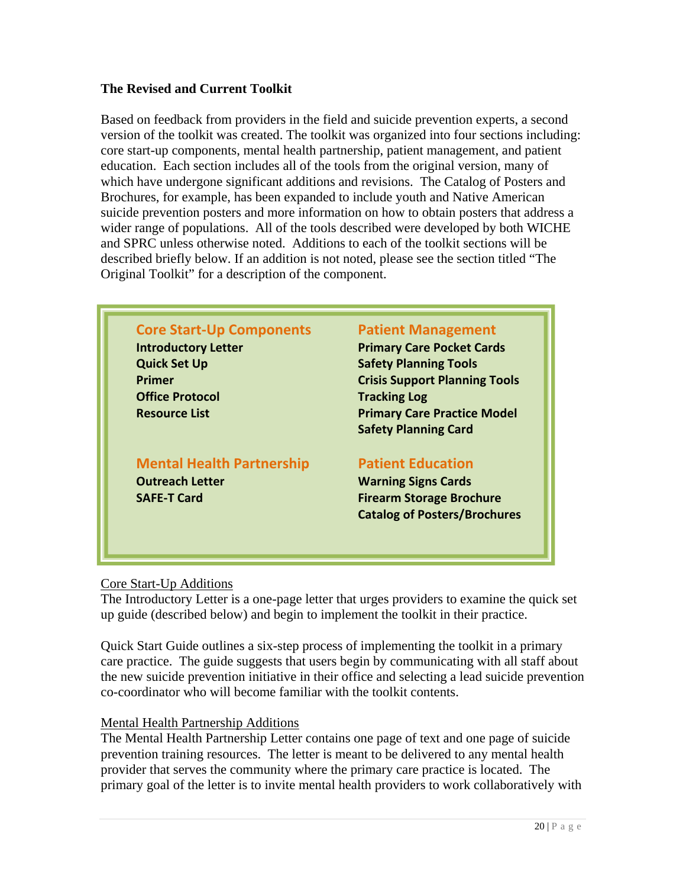## **The Revised and Current Toolkit**

Based on feedback from providers in the field and suicide prevention experts, a second version of the toolkit was created. The toolkit was organized into four sections including: core start-up components, mental health partnership, patient management, and patient education. Each section includes all of the tools from the original version, many of which have undergone significant additions and revisions. The Catalog of Posters and Brochures, for example, has been expanded to include youth and Native American suicide prevention posters and more information on how to obtain posters that address a wider range of populations. All of the tools described were developed by both WICHE and SPRC unless otherwise noted. Additions to each of the toolkit sections will be described briefly below. If an addition is not noted, please see the section titled "The Original Toolkit" for a description of the component.

| <b>Core Start-Up Components</b>  | <b>Patient Management</b>            |  |  |
|----------------------------------|--------------------------------------|--|--|
| <b>Introductory Letter</b>       | <b>Primary Care Pocket Cards</b>     |  |  |
| <b>Quick Set Up</b>              | <b>Safety Planning Tools</b>         |  |  |
| Primer                           | <b>Crisis Support Planning Tools</b> |  |  |
| <b>Office Protocol</b>           | <b>Tracking Log</b>                  |  |  |
| <b>Resource List</b>             | <b>Primary Care Practice Model</b>   |  |  |
|                                  | <b>Safety Planning Card</b>          |  |  |
| <b>Mental Health Partnership</b> | <b>Patient Education</b>             |  |  |
| <b>Outreach Letter</b>           | <b>Warning Signs Cards</b>           |  |  |
| <b>SAFE-T Card</b>               | <b>Firearm Storage Brochure</b>      |  |  |
|                                  | <b>Catalog of Posters/Brochures</b>  |  |  |

## Core Start-Up Additions

The Introductory Letter is a one-page letter that urges providers to examine the quick set up guide (described below) and begin to implement the toolkit in their practice.

Quick Start Guide outlines a six-step process of implementing the toolkit in a primary care practice. The guide suggests that users begin by communicating with all staff about the new suicide prevention initiative in their office and selecting a lead suicide prevention co-coordinator who will become familiar with the toolkit contents.

### Mental Health Partnership Additions

The Mental Health Partnership Letter contains one page of text and one page of suicide prevention training resources. The letter is meant to be delivered to any mental health provider that serves the community where the primary care practice is located. The primary goal of the letter is to invite mental health providers to work collaboratively with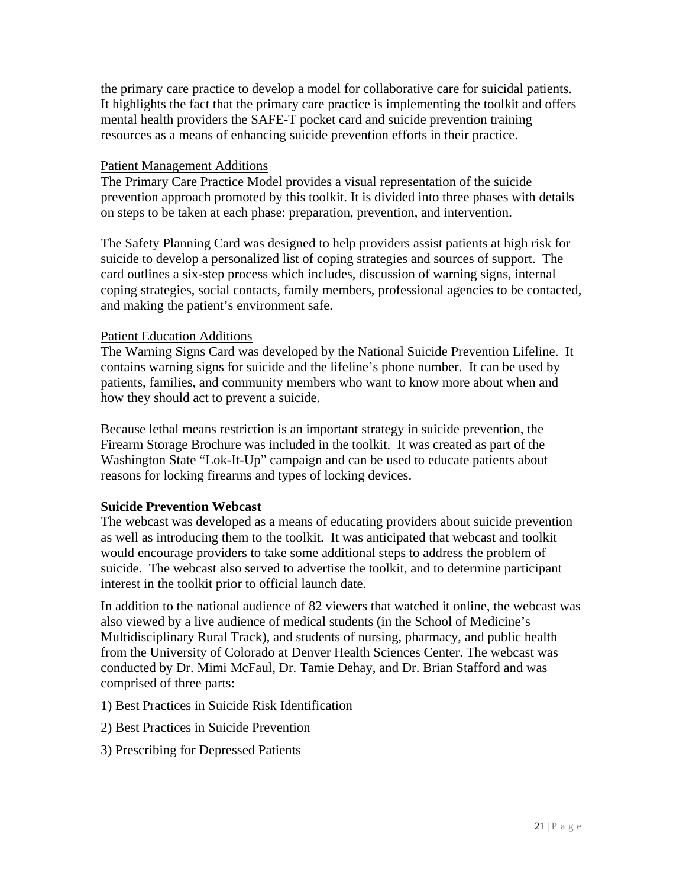the primary care practice to develop a model for collaborative care for suicidal patients. It highlights the fact that the primary care practice is implementing the toolkit and offers mental health providers the SAFE-T pocket card and suicide prevention training resources as a means of enhancing suicide prevention efforts in their practice.

## Patient Management Additions

The Primary Care Practice Model provides a visual representation of the suicide prevention approach promoted by this toolkit. It is divided into three phases with details on steps to be taken at each phase: preparation, prevention, and intervention.

The Safety Planning Card was designed to help providers assist patients at high risk for suicide to develop a personalized list of coping strategies and sources of support. The card outlines a six-step process which includes, discussion of warning signs, internal coping strategies, social contacts, family members, professional agencies to be contacted, and making the patient's environment safe.

## Patient Education Additions

The Warning Signs Card was developed by the National Suicide Prevention Lifeline. It contains warning signs for suicide and the lifeline's phone number. It can be used by patients, families, and community members who want to know more about when and how they should act to prevent a suicide.

Because lethal means restriction is an important strategy in suicide prevention, the Firearm Storage Brochure was included in the toolkit. It was created as part of the Washington State "Lok-It-Up" campaign and can be used to educate patients about reasons for locking firearms and types of locking devices.

## **Suicide Prevention Webcast**

The webcast was developed as a means of educating providers about suicide prevention as well as introducing them to the toolkit. It was anticipated that webcast and toolkit would encourage providers to take some additional steps to address the problem of suicide. The webcast also served to advertise the toolkit, and to determine participant interest in the toolkit prior to official launch date.

In addition to the national audience of 82 viewers that watched it online, the webcast was also viewed by a live audience of medical students (in the School of Medicine's Multidisciplinary Rural Track), and students of nursing, pharmacy, and public health from the University of Colorado at Denver Health Sciences Center. The webcast was conducted by Dr. Mimi McFaul, Dr. Tamie Dehay, and Dr. Brian Stafford and was comprised of three parts:

- 1) Best Practices in Suicide Risk Identification
- 2) Best Practices in Suicide Prevention
- 3) Prescribing for Depressed Patients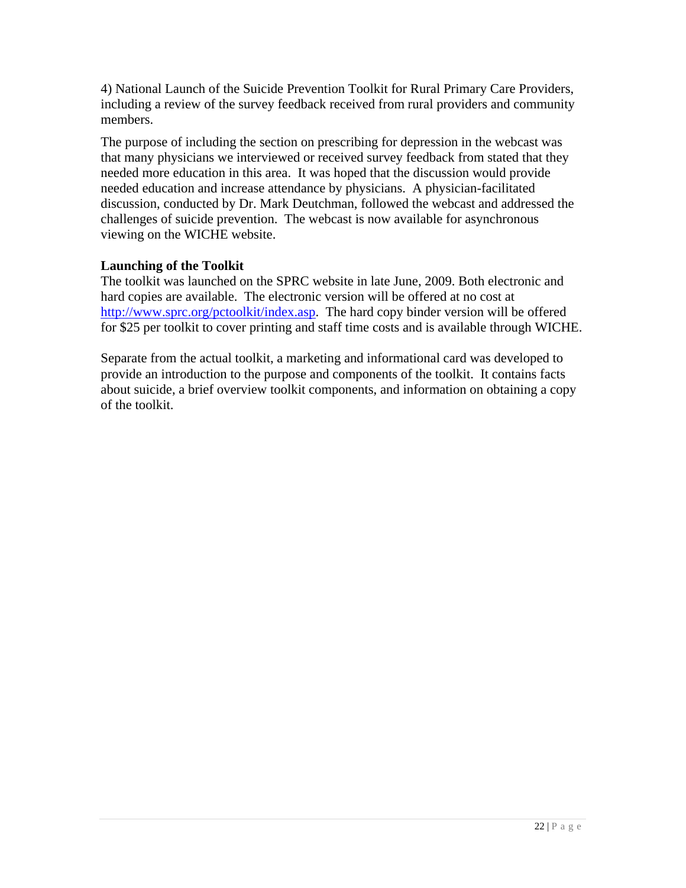4) National Launch of the Suicide Prevention Toolkit for Rural Primary Care Providers, including a review of the survey feedback received from rural providers and community members.

The purpose of including the section on prescribing for depression in the webcast was that many physicians we interviewed or received survey feedback from stated that they needed more education in this area. It was hoped that the discussion would provide needed education and increase attendance by physicians. A physician-facilitated discussion, conducted by Dr. Mark Deutchman, followed the webcast and addressed the challenges of suicide prevention. The webcast is now available for asynchronous viewing on the WICHE website.

## **Launching of the Toolkit**

The toolkit was launched on the SPRC website in late June, 2009. Both electronic and hard copies are available. The electronic version will be offered at no cost at [http://www.sprc.org/pctoolkit/index.asp.](http://www.sprc.org/pctoolkit/index.asp) The hard copy binder version will be offered for \$25 per toolkit to cover printing and staff time costs and is available through WICHE.

Separate from the actual toolkit, a marketing and informational card was developed to provide an introduction to the purpose and components of the toolkit. It contains facts about suicide, a brief overview toolkit components, and information on obtaining a copy of the toolkit.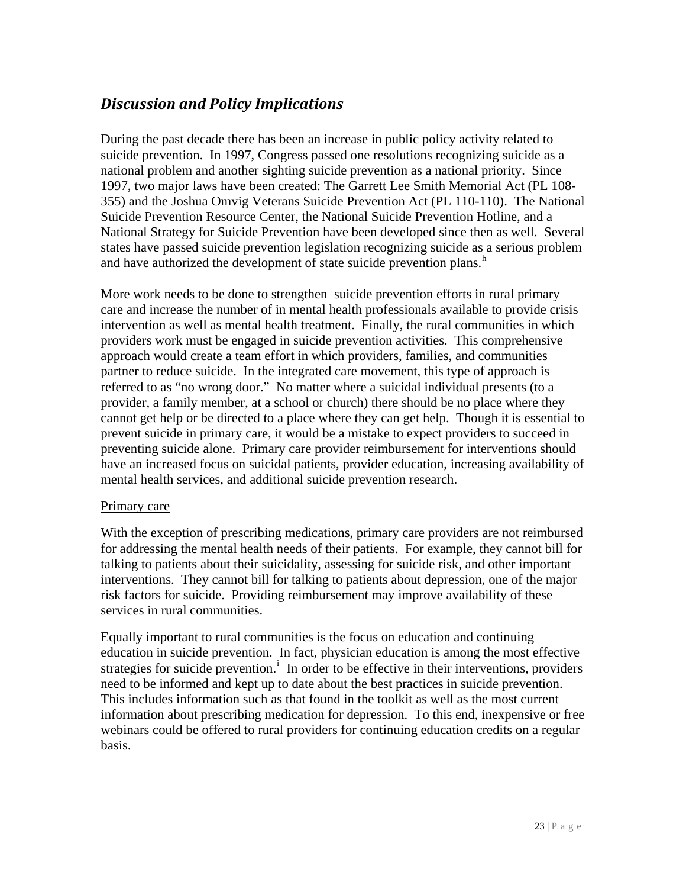# <span id="page-22-0"></span>*Discussion and Policy Implications*

During the past decade there has been an increase in public policy activity related to suicide prevention. In 1997, Congress passed one resolutions recognizing suicide as a national problem and another sighting suicide prevention as a national priority. Since 1997, two major laws have been created: The Garrett Lee Smith Memorial Act (PL 108- 355) and the Joshua Omvig Veterans Suicide Prevention Act (PL 110-110). The National Suicide Prevention Resource Center, the National Suicide Prevention Hotline, and a National Strategy for Suicide Prevention have been developed since then as well. Several states have passed suicide prevention legislation recognizing suicide as a serious problem and [h](#page-24-2)ave authorized the development of state suicide prevention plans. $h$ 

More work needs to be done to strengthen suicide prevention efforts in rural primary care and increase the number of in mental health professionals available to provide crisis intervention as well as mental health treatment. Finally, the rural communities in which providers work must be engaged in suicide prevention activities. This comprehensive approach would create a team effort in which providers, families, and communities partner to reduce suicide. In the integrated care movement, this type of approach is referred to as "no wrong door." No matter where a suicidal individual presents (to a provider, a family member, at a school or church) there should be no place where they cannot get help or be directed to a place where they can get help. Though it is essential to prevent suicide in primary care, it would be a mistake to expect providers to succeed in preventing suicide alone. Primary care provider reimbursement for interventions should have an increased focus on suicidal patients, provider education, increasing availability of mental health services, and additional suicide prevention research.

## Primary care

With the exception of prescribing medications, primary care providers are not reimbursed for addressing the mental health needs of their patients. For example, they cannot bill for talking to patients about their suicidality, assessing for suicide risk, and other important interventions. They cannot bill for talking to patients about depression, one of the major risk factors for suicide. Providing reimbursement may improve availability of these services in rural communities.

Equally important to rural communities is the focus on education and continuing education in suicide prevention. In fact, physician education is among the most effective strateg[i](#page-24-2)es for suicide prevention.<sup> $\mathbf{i}$ </sup> In order to be effective in their interventions, providers need to be informed and kept up to date about the best practices in suicide prevention. This includes information such as that found in the toolkit as well as the most current information about prescribing medication for depression. To this end, inexpensive or free webinars could be offered to rural providers for continuing education credits on a regular basis.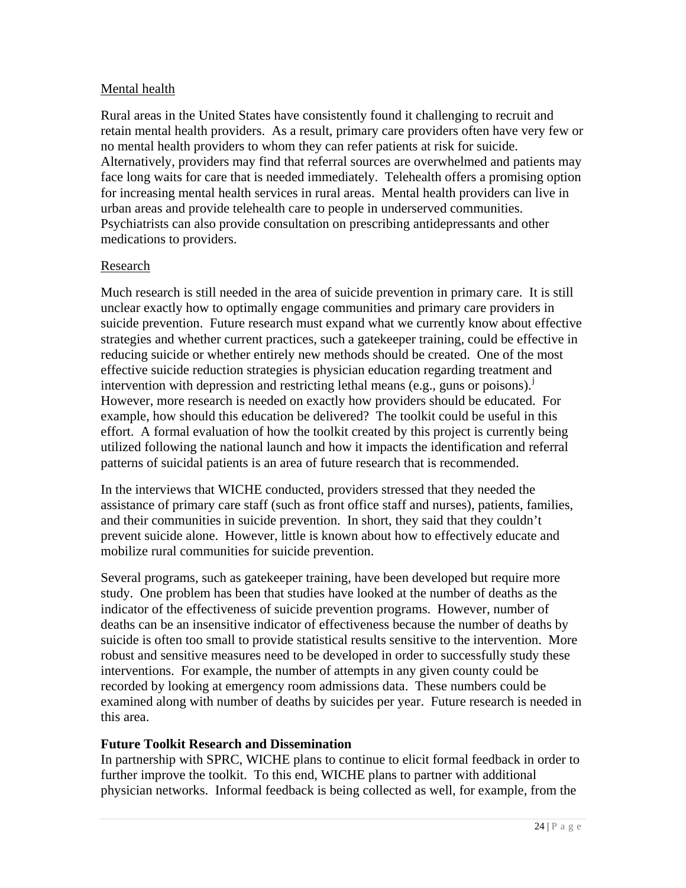## Mental health

Rural areas in the United States have consistently found it challenging to recruit and retain mental health providers. As a result, primary care providers often have very few or no mental health providers to whom they can refer patients at risk for suicide. Alternatively, providers may find that referral sources are overwhelmed and patients may face long waits for care that is needed immediately. Telehealth offers a promising option for increasing mental health services in rural areas. Mental health providers can live in urban areas and provide telehealth care to people in underserved communities. Psychiatrists can also provide consultation on prescribing antidepressants and other medications to providers.

## Research

Much research is still needed in the area of suicide prevention in primary care. It is still unclear exactly how to optimally engage communities and primary care providers in suicide prevention. Future research must expand what we currently know about effective strategies and whether current practices, such a gatekeeper training, could be effective in reducing suicide or whether entirely new methods should be created. One of the most effective suicide reduction strategies is physician education regarding treatment and intervention with depression and restricting lethal means (e.g., guns or poisons).<sup>[j](#page-24-2)</sup> However, more research is needed on exactly how providers should be educated. For example, how should this education be delivered? The toolkit could be useful in this effort. A formal evaluation of how the toolkit created by this project is currently being utilized following the national launch and how it impacts the identification and referral patterns of suicidal patients is an area of future research that is recommended.

In the interviews that WICHE conducted, providers stressed that they needed the assistance of primary care staff (such as front office staff and nurses), patients, families, and their communities in suicide prevention. In short, they said that they couldn't prevent suicide alone. However, little is known about how to effectively educate and mobilize rural communities for suicide prevention.

Several programs, such as gatekeeper training, have been developed but require more study. One problem has been that studies have looked at the number of deaths as the indicator of the effectiveness of suicide prevention programs. However, number of deaths can be an insensitive indicator of effectiveness because the number of deaths by suicide is often too small to provide statistical results sensitive to the intervention. More robust and sensitive measures need to be developed in order to successfully study these interventions. For example, the number of attempts in any given county could be recorded by looking at emergency room admissions data. These numbers could be examined along with number of deaths by suicides per year. Future research is needed in this area.

## **Future Toolkit Research and Dissemination**

In partnership with SPRC, WICHE plans to continue to elicit formal feedback in order to further improve the toolkit. To this end, WICHE plans to partner with additional physician networks. Informal feedback is being collected as well, for example, from the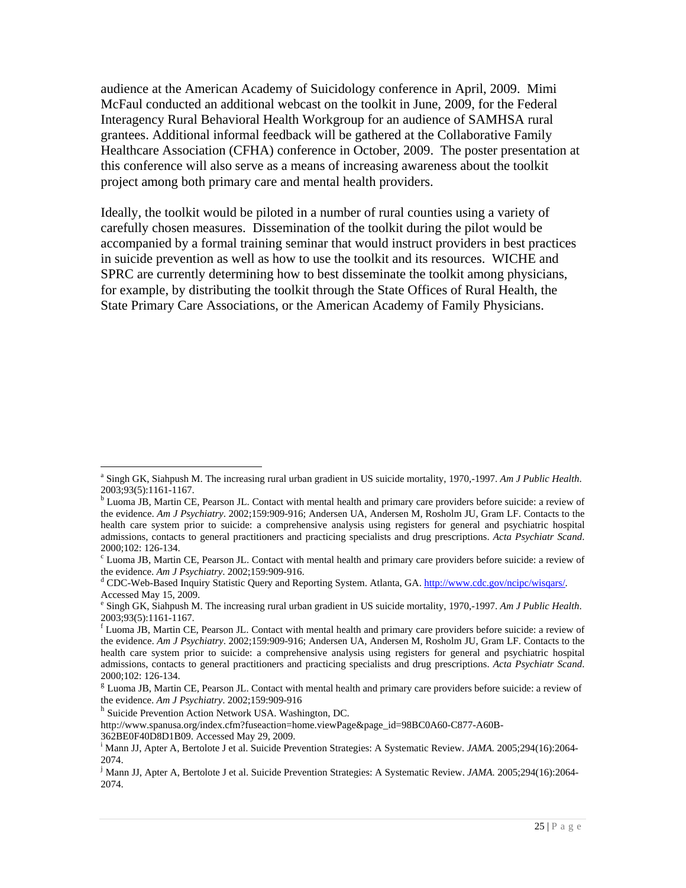<span id="page-24-1"></span>audience at the American Academy of Suicidology conference in April, 2009. Mimi McFaul conducted an additional webcast on the toolkit in June, 2009, for the Federal Interagency Rural Behavioral Health Workgroup for an audience of SAMHSA rural grantees. Additional informal feedback will be gathered at the Collaborative Family Healthcare Association (CFHA) conference in October, 2009. The poster presentation at this conference will also serve as a means of increasing awareness about the toolkit project among both primary care and mental health providers.

Ideally, the toolkit would be piloted in a number of rural counties using a variety of carefully chosen measures. Dissemination of the toolkit during the pilot would be accompanied by a formal training seminar that would instruct providers in best practices in suicide prevention as well as how to use the toolkit and its resources. WICHE and SPRC are currently determining how to best disseminate the toolkit among physicians, for example, by distributing the toolkit through the State Offices of Rural Health, the State Primary Care Associations, or the American Academy of Family Physicians.

 $\overline{a}$ 

<span id="page-24-0"></span><sup>&</sup>lt;sup>a</sup> Singh GK, Siahpush M. The increasing rural urban gradient in US suicide mortality, 1970,-1997. Am J Public Health. 2003;93(5):1161-1167.

<sup>&</sup>lt;sup>b</sup> Luoma JB, Martin CE, Pearson JL. Contact with mental health and primary care providers before suicide: a review of the evidence. *Am J Psychiatry*. 2002;159:909-916; Andersen UA, Andersen M, Rosholm JU, Gram LF. Contacts to the health care system prior to suicide: a comprehensive analysis using registers for general and psychiatric hospital admissions, contacts to general practitioners and practicing specialists and drug prescriptions. *Acta Psychiatr Scand*. 2000;102: 126-134.

<sup>&</sup>lt;sup>c</sup> Luoma JB, Martin CE, Pearson JL. Contact with mental health and primary care providers before suicide: a review of the evidence. *Am J Psychiatry*. 2002;159:909-916.

<sup>&</sup>lt;sup>d</sup> CDC-Web-Based Inquiry Statistic Query and Reporting System. Atlanta, GA. [http://www.cdc.gov/ncipc/wisqars/.](http://www.cdc.gov/ncipc/wisqars/) Accessed May 15, 2009.

e Singh GK, Siahpush M. The increasing rural urban gradient in US suicide mortality, 1970,-1997. *Am J Public Health*. 2003;93(5):1161-1167.

f Luoma JB, Martin CE, Pearson JL. Contact with mental health and primary care providers before suicide: a review of the evidence. *Am J Psychiatry*. 2002;159:909-916; Andersen UA, Andersen M, Rosholm JU, Gram LF. Contacts to the health care system prior to suicide: a comprehensive analysis using registers for general and psychiatric hospital admissions, contacts to general practitioners and practicing specialists and drug prescriptions. *Acta Psychiatr Scand*. 2000;102: 126-134.

<span id="page-24-2"></span><sup>&</sup>lt;sup>g</sup> Luoma JB, Martin CE, Pearson JL. Contact with mental health and primary care providers before suicide: a review of the evidence. *Am J Psychiatry*. 2002;159:909-916<br><sup>h</sup> Suicide Prevention Action Network USA. Washington, DC.

http://www.spanusa.org/index.cfm?fuseaction=home.viewPage&page\_id=98BC0A60-C877-A60B-

<sup>362</sup>BE0F40D8D1B09. Accessed May 29, 2009.

i Mann JJ, Apter A, Bertolote J et al. Suicide Prevention Strategies: A Systematic Review. *JAMA.* 2005;294(16):2064- 2074.

j Mann JJ, Apter A, Bertolote J et al. Suicide Prevention Strategies: A Systematic Review. *JAMA.* 2005;294(16):2064- 2074.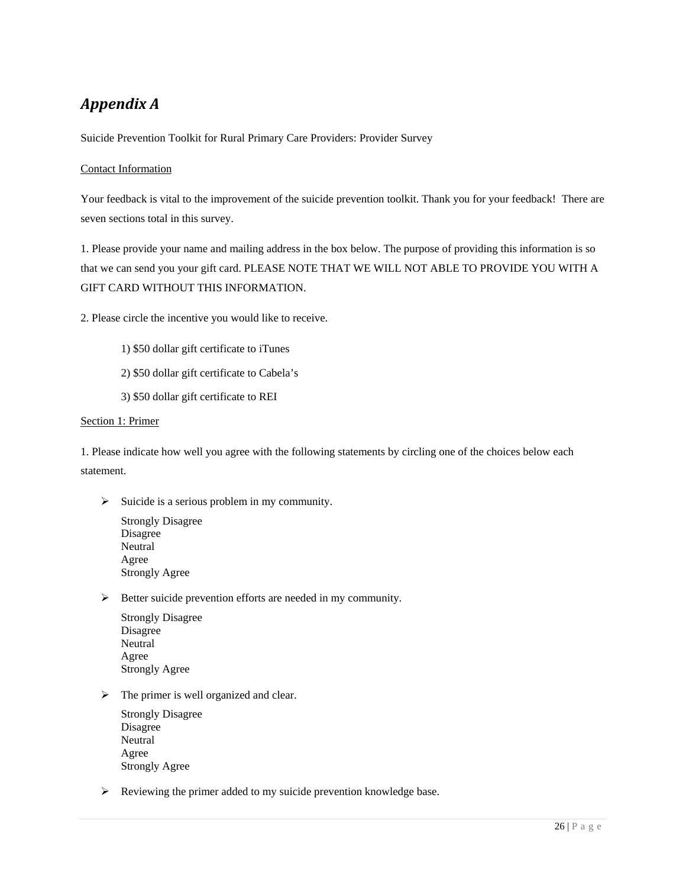# *Appendix A*

Suicide Prevention Toolkit for Rural Primary Care Providers: Provider Survey

### Contact Information

Your feedback is vital to the improvement of the suicide prevention toolkit. Thank you for your feedback! There are seven sections total in this survey.

1. Please provide your name and mailing address in the box below. The purpose of providing this information is so that we can send you your gift card. PLEASE NOTE THAT WE WILL NOT ABLE TO PROVIDE YOU WITH A GIFT CARD WITHOUT THIS INFORMATION.

2. Please circle the incentive you would like to receive.

- 1) \$50 dollar gift certificate to iTunes
- 2) \$50 dollar gift certificate to Cabela's
- 3) \$50 dollar gift certificate to REI

#### Section 1: Primer

1. Please indicate how well you agree with the following statements by circling one of the choices below each statement.

 $\triangleright$  Suicide is a serious problem in my community.

Strongly Disagree Disagree **Neutral** Agree Strongly Agree

¾ Better suicide prevention efforts are needed in my community.

Strongly Disagree Disagree **Neutral** Agree Strongly Agree

 $\triangleright$  The primer is well organized and clear.

Strongly Disagree Disagree **Neutral** Agree Strongly Agree

 $\triangleright$  Reviewing the primer added to my suicide prevention knowledge base.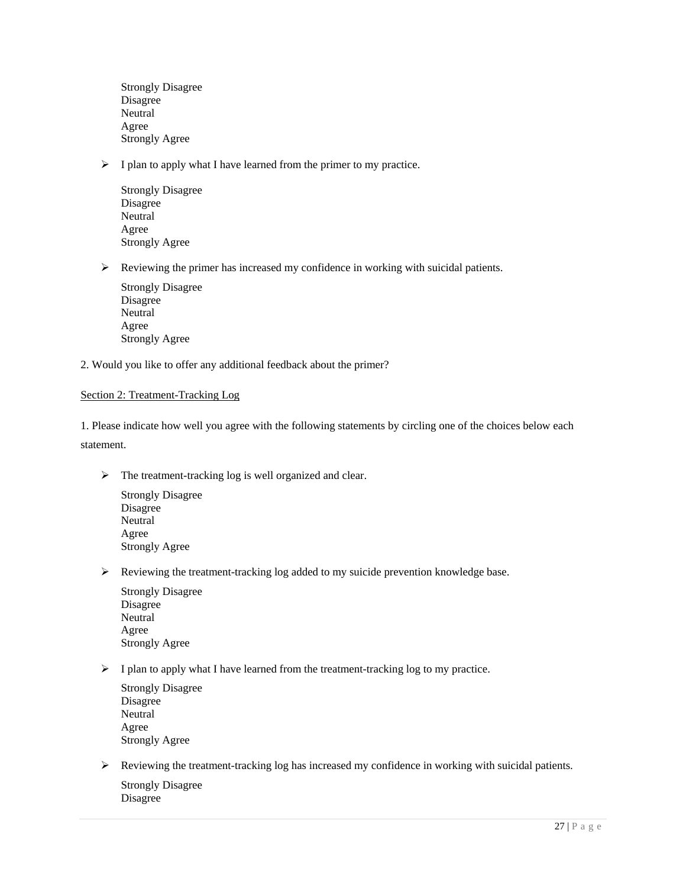Strongly Disagree Disagree **Neutral** Agree Strongly Agree

 $\triangleright$  I plan to apply what I have learned from the primer to my practice.

Strongly Disagree Disagree **Neutral** Agree Strongly Agree

¾ Reviewing the primer has increased my confidence in working with suicidal patients.

Strongly Disagree Disagree Neutral Agree Strongly Agree

2. Would you like to offer any additional feedback about the primer?

### Section 2: Treatment-Tracking Log

1. Please indicate how well you agree with the following statements by circling one of the choices below each statement.

- $\triangleright$  The treatment-tracking log is well organized and clear.
	- Strongly Disagree Disagree **Neutral** Agree Strongly Agree
- ¾ Reviewing the treatment-tracking log added to my suicide prevention knowledge base.
	- Strongly Disagree Disagree Neutral Agree Strongly Agree
- $\triangleright$  I plan to apply what I have learned from the treatment-tracking log to my practice.

Strongly Disagree Disagree Neutral Agree Strongly Agree

 $\triangleright$  Reviewing the treatment-tracking log has increased my confidence in working with suicidal patients.

Strongly Disagree Disagree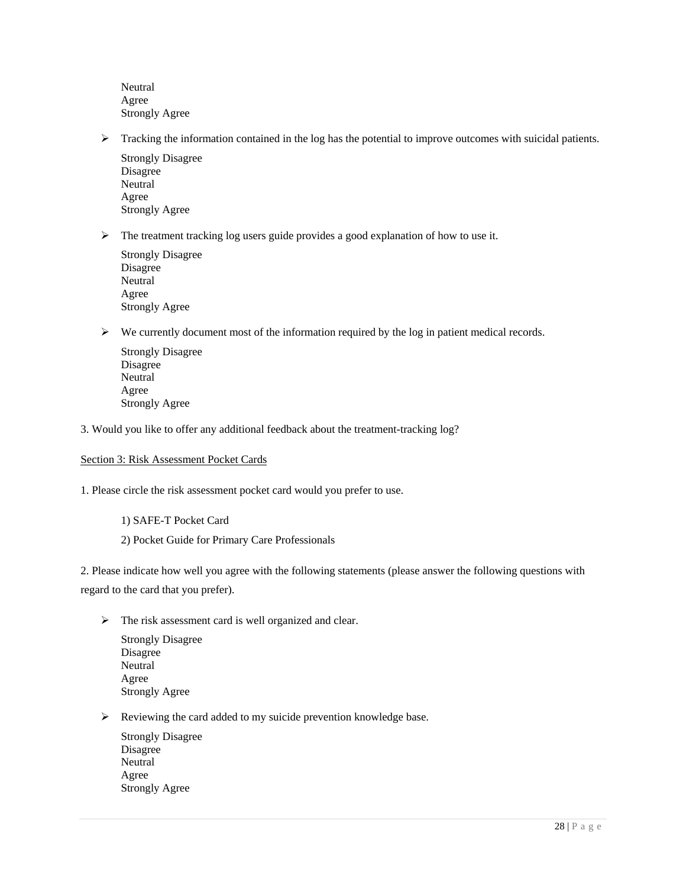**Neutral** Agree Strongly Agree

 $\triangleright$  Tracking the information contained in the log has the potential to improve outcomes with suicidal patients.

Strongly Disagree Disagree **Neutral** Agree Strongly Agree

 $\triangleright$  The treatment tracking log users guide provides a good explanation of how to use it.

Strongly Disagree Disagree **Neutral** Agree Strongly Agree

¾ We currently document most of the information required by the log in patient medical records.

Strongly Disagree Disagree **Neutral** Agree Strongly Agree

3. Would you like to offer any additional feedback about the treatment-tracking log?

#### Section 3: Risk Assessment Pocket Cards

1. Please circle the risk assessment pocket card would you prefer to use.

1) SAFE-T Pocket Card 2) Pocket Guide for Primary Care Professionals

2. Please indicate how well you agree with the following statements (please answer the following questions with regard to the card that you prefer).

 $\triangleright$  The risk assessment card is well organized and clear.

Strongly Disagree Disagree **Neutral** Agree Strongly Agree

 $\triangleright$  Reviewing the card added to my suicide prevention knowledge base.

Strongly Disagree Disagree Neutral Agree Strongly Agree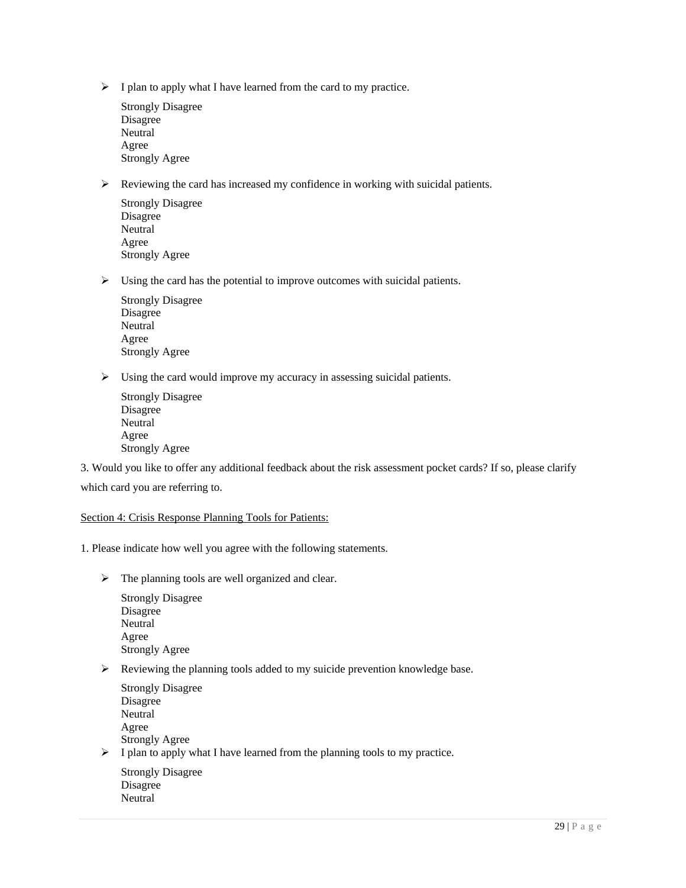- $\triangleright$  I plan to apply what I have learned from the card to my practice.
	- Strongly Disagree Disagree Neutral Agree Strongly Agree
- ¾ Reviewing the card has increased my confidence in working with suicidal patients.
	- Strongly Disagree Disagree Neutral Agree Strongly Agree
- $\triangleright$  Using the card has the potential to improve outcomes with suicidal patients.
	- Strongly Disagree Disagree **Neutral** Agree Strongly Agree
- $\triangleright$  Using the card would improve my accuracy in assessing suicidal patients.
	- Strongly Disagree Disagree **Neutral** Agree Strongly Agree

3. Would you like to offer any additional feedback about the risk assessment pocket cards? If so, please clarify which card you are referring to.

### Section 4: Crisis Response Planning Tools for Patients:

1. Please indicate how well you agree with the following statements.

 $\triangleright$  The planning tools are well organized and clear.

Strongly Disagree Disagree **Neutral** Agree Strongly Agree

**Neutral** 

- $\triangleright$  Reviewing the planning tools added to my suicide prevention knowledge base.
- Strongly Disagree Disagree Neutral Agree Strongly Agree  $\triangleright$  I plan to apply what I have learned from the planning tools to my practice. Strongly Disagree Disagree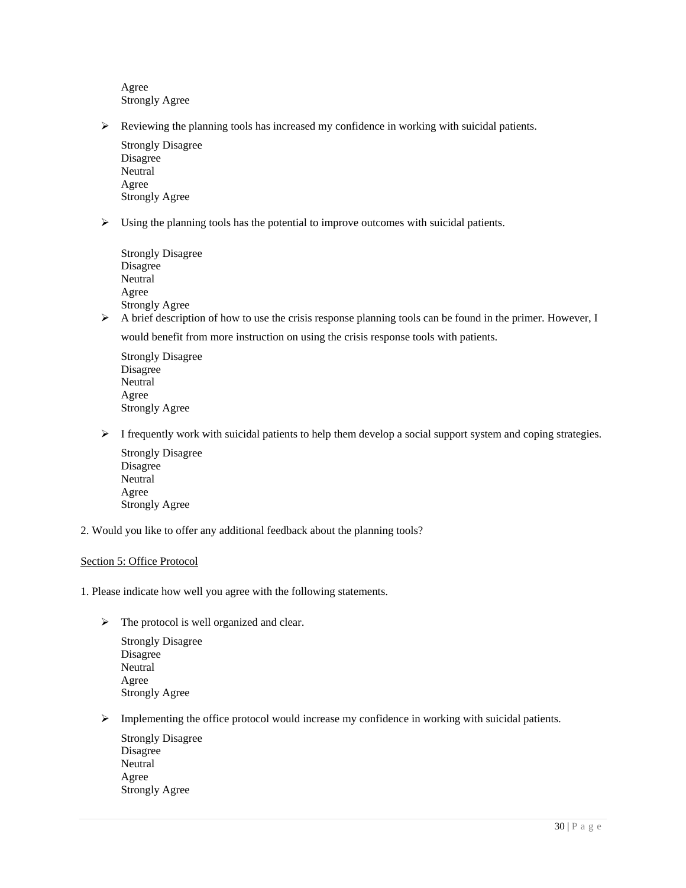Agree Strongly Agree

 $\triangleright$  Reviewing the planning tools has increased my confidence in working with suicidal patients.

Strongly Disagree Disagree **Neutral** Agree Strongly Agree

¾ Using the planning tools has the potential to improve outcomes with suicidal patients.

| <b>Strongly Disagree</b> |
|--------------------------|
| Disagree                 |
| Neutral                  |
| Agree                    |
| <b>Strongly Agree</b>    |

 $\triangleright$  A brief description of how to use the crisis response planning tools can be found in the primer. However, I would benefit from more instruction on using the crisis response tools with patients.

Strongly Disagree Disagree **Neutral** Agree Strongly Agree

 $\triangleright$  I frequently work with suicidal patients to help them develop a social support system and coping strategies.

Strongly Disagree Disagree **Neutral** Agree Strongly Agree

2. Would you like to offer any additional feedback about the planning tools?

#### Section 5: Office Protocol

1. Please indicate how well you agree with the following statements.

 $\triangleright$  The protocol is well organized and clear.

Strongly Disagree Disagree **Neutral** Agree Strongly Agree

¾ Implementing the office protocol would increase my confidence in working with suicidal patients.

Strongly Disagree Disagree **Neutral** Agree Strongly Agree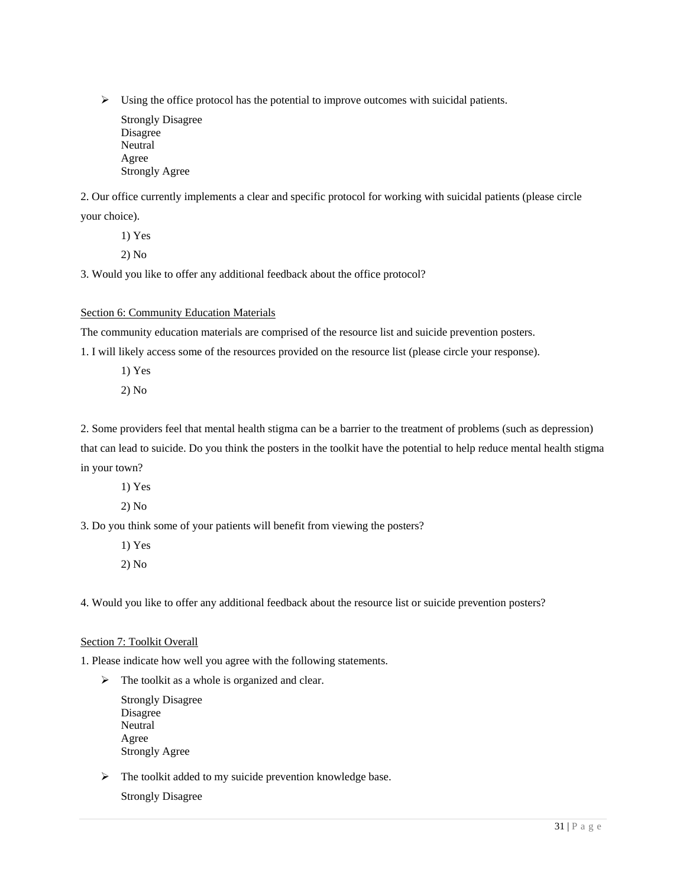$\triangleright$  Using the office protocol has the potential to improve outcomes with suicidal patients.

Strongly Disagree Disagree **Neutral** Agree Strongly Agree

2. Our office currently implements a clear and specific protocol for working with suicidal patients (please circle your choice).

1) Yes

2) No

3. Would you like to offer any additional feedback about the office protocol?

Section 6: Community Education Materials

The community education materials are comprised of the resource list and suicide prevention posters.

1. I will likely access some of the resources provided on the resource list (please circle your response).

- 1) Yes
- 2) No

2. Some providers feel that mental health stigma can be a barrier to the treatment of problems (such as depression) that can lead to suicide. Do you think the posters in the toolkit have the potential to help reduce mental health stigma in your town?

- 1) Yes
- 2) No

3. Do you think some of your patients will benefit from viewing the posters?

1) Yes 2) No

4. Would you like to offer any additional feedback about the resource list or suicide prevention posters?

#### Section 7: Toolkit Overall

1. Please indicate how well you agree with the following statements.

 $\triangleright$  The toolkit as a whole is organized and clear.

Strongly Disagree Disagree **Neutral** Agree Strongly Agree

 $\triangleright$  The toolkit added to my suicide prevention knowledge base.

Strongly Disagree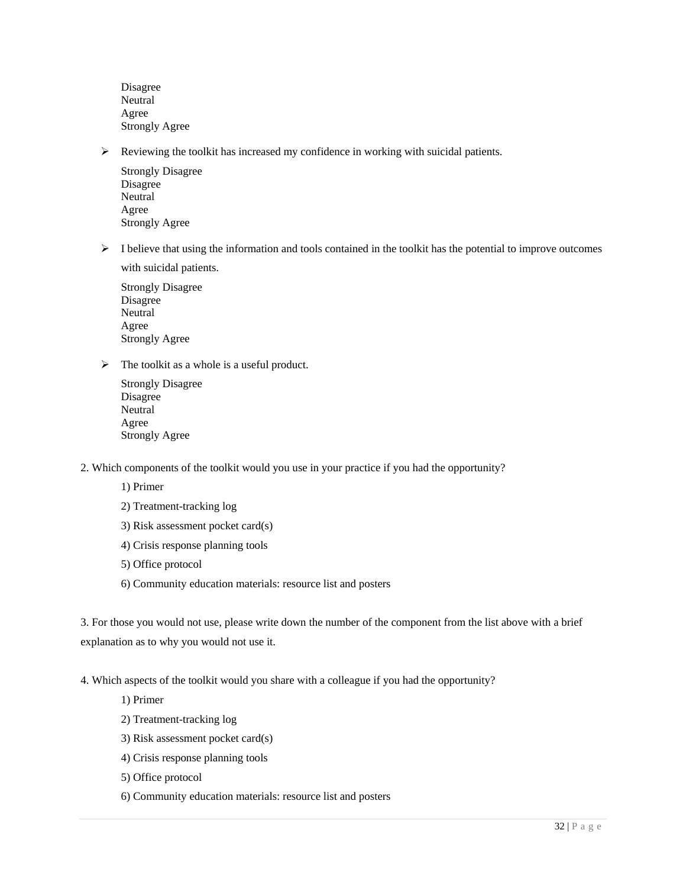Disagree **Neutral** Agree Strongly Agree

¾ Reviewing the toolkit has increased my confidence in working with suicidal patients.

Strongly Disagree Disagree Neutral Agree Strongly Agree

 $\triangleright$  I believe that using the information and tools contained in the toolkit has the potential to improve outcomes with suicidal patients.

Strongly Disagree Disagree Neutral Agree Strongly Agree

- $\triangleright$  The toolkit as a whole is a useful product.
	- Strongly Disagree Disagree **Neutral** Agree Strongly Agree
- 2. Which components of the toolkit would you use in your practice if you had the opportunity?

1) Primer

- 2) Treatment-tracking log
- 3) Risk assessment pocket card(s)
- 4) Crisis response planning tools
- 5) Office protocol
- 6) Community education materials: resource list and posters

3. For those you would not use, please write down the number of the component from the list above with a brief explanation as to why you would not use it.

4. Which aspects of the toolkit would you share with a colleague if you had the opportunity?

1) Primer

- 2) Treatment-tracking log
- 3) Risk assessment pocket card(s)
- 4) Crisis response planning tools
- 5) Office protocol
- 6) Community education materials: resource list and posters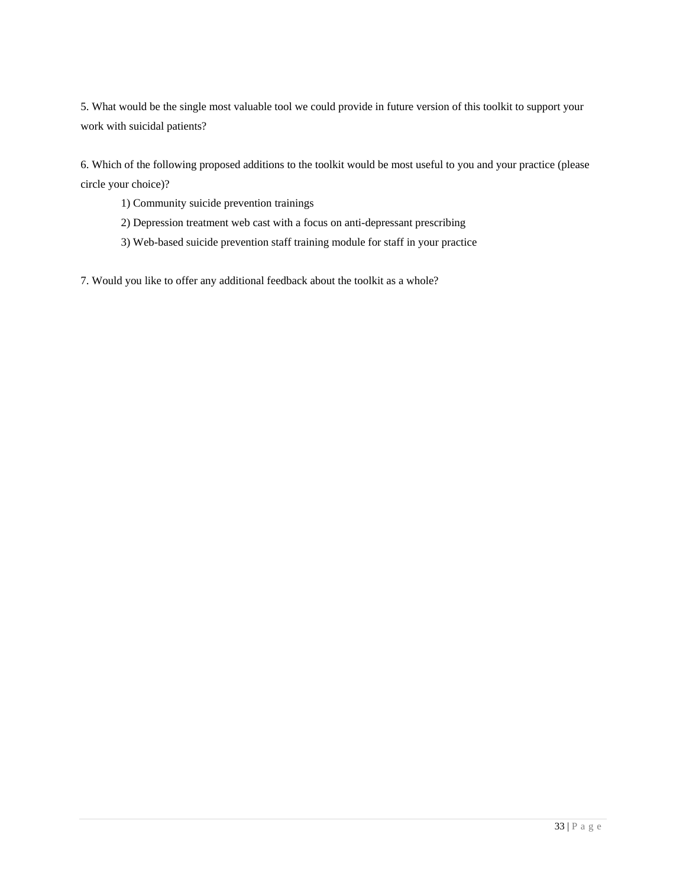5. What would be the single most valuable tool we could provide in future version of this toolkit to support your work with suicidal patients?

6. Which of the following proposed additions to the toolkit would be most useful to you and your practice (please circle your choice)?

- 1) Community suicide prevention trainings
- 2) Depression treatment web cast with a focus on anti-depressant prescribing
- 3) Web-based suicide prevention staff training module for staff in your practice

7. Would you like to offer any additional feedback about the toolkit as a whole?